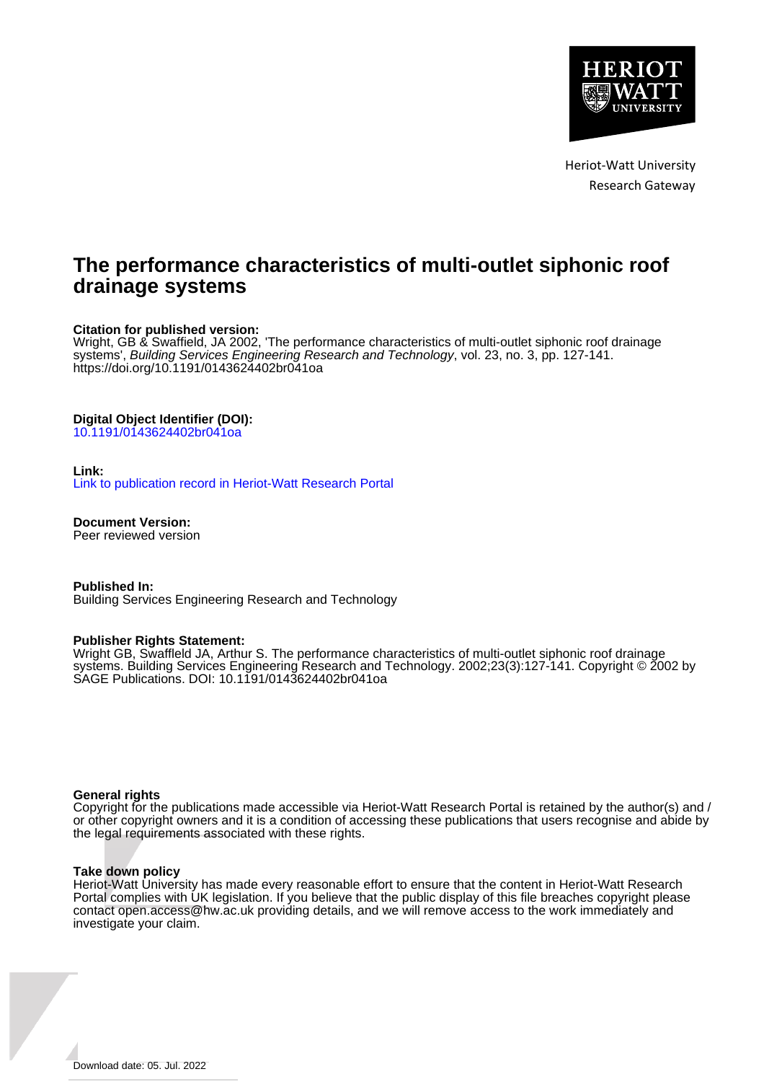

Heriot-Watt University Research Gateway

# **The performance characteristics of multi-outlet siphonic roof drainage systems**

#### **Citation for published version:**

Wright, GB & Swaffield, JA 2002, 'The performance characteristics of multi-outlet siphonic roof drainage systems', Building Services Engineering Research and Technology, vol. 23, no. 3, pp. 127-141. <https://doi.org/10.1191/0143624402br041oa>

#### **Digital Object Identifier (DOI):**

[10.1191/0143624402br041oa](https://doi.org/10.1191/0143624402br041oa)

#### **Link:**

[Link to publication record in Heriot-Watt Research Portal](https://researchportal.hw.ac.uk/en/publications/442ddd75-9af4-4815-8336-42d3abaf2a72)

**Document Version:** Peer reviewed version

**Published In:** Building Services Engineering Research and Technology

#### **Publisher Rights Statement:**

Wright GB, Swaffleld JA, Arthur S. The performance characteristics of multi-outlet siphonic roof drainage systems. Building Services Engineering Research and Technology. 2002;23(3):127-141. Copyright © 2002 by SAGE Publications. DOI: 10.1191/0143624402br041oa

#### **General rights**

Copyright for the publications made accessible via Heriot-Watt Research Portal is retained by the author(s) and / or other copyright owners and it is a condition of accessing these publications that users recognise and abide by the legal requirements associated with these rights.

#### **Take down policy**

Heriot-Watt University has made every reasonable effort to ensure that the content in Heriot-Watt Research Portal complies with UK legislation. If you believe that the public display of this file breaches copyright please contact open.access@hw.ac.uk providing details, and we will remove access to the work immediately and investigate your claim.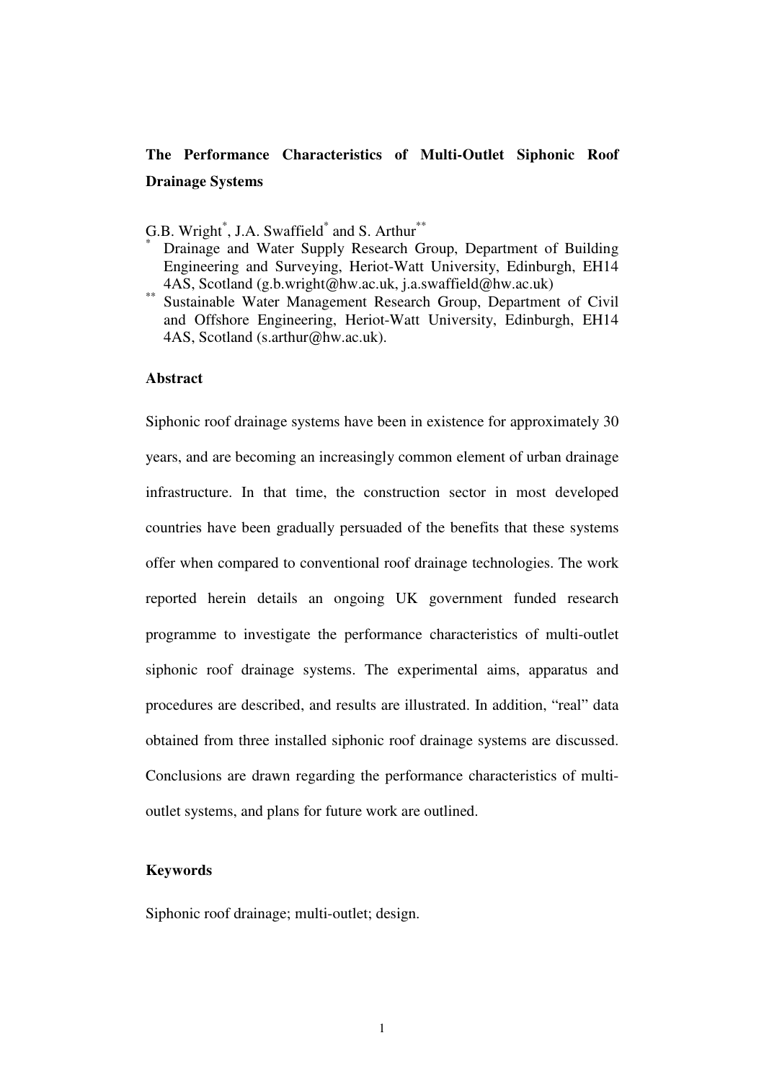# **The Performance Characteristics of Multi-Outlet Siphonic Roof Drainage Systems**

- G.B. Wright<sup>\*</sup>, J.A. Swaffield<sup>\*</sup> and S. Arthur<sup>\*\*</sup>
- \* Drainage and Water Supply Research Group, Department of Building Engineering and Surveying, Heriot-Watt University, Edinburgh, EH14 4AS, Scotland (g.b.wright@hw.ac.uk, j.a.swaffield@hw.ac.uk)
- Sustainable Water Management Research Group, Department of Civil and Offshore Engineering, Heriot-Watt University, Edinburgh, EH14 4AS, Scotland (s.arthur@hw.ac.uk).

#### **Abstract**

Siphonic roof drainage systems have been in existence for approximately 30 years, and are becoming an increasingly common element of urban drainage infrastructure. In that time, the construction sector in most developed countries have been gradually persuaded of the benefits that these systems offer when compared to conventional roof drainage technologies. The work reported herein details an ongoing UK government funded research programme to investigate the performance characteristics of multi-outlet siphonic roof drainage systems. The experimental aims, apparatus and procedures are described, and results are illustrated. In addition, "real" data obtained from three installed siphonic roof drainage systems are discussed. Conclusions are drawn regarding the performance characteristics of multioutlet systems, and plans for future work are outlined.

### **Keywords**

Siphonic roof drainage; multi-outlet; design.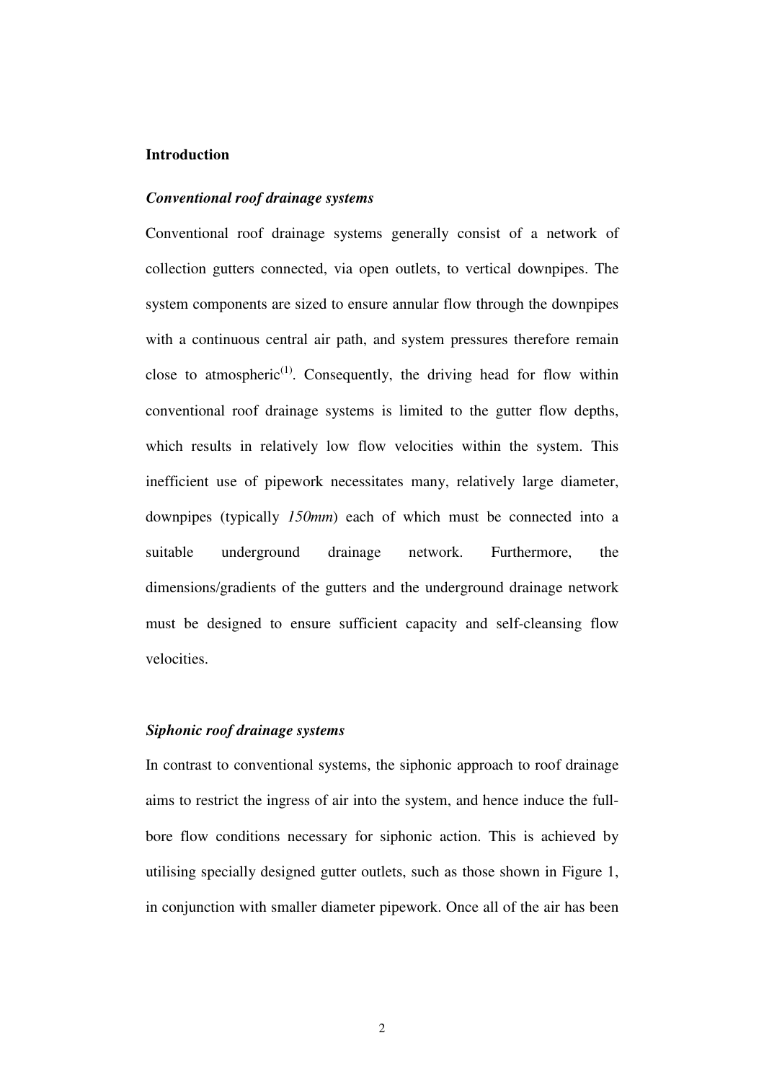#### **Introduction**

#### *Conventional roof drainage systems*

Conventional roof drainage systems generally consist of a network of collection gutters connected, via open outlets, to vertical downpipes. The system components are sized to ensure annular flow through the downpipes with a continuous central air path, and system pressures therefore remain close to atmospheric<sup>(1)</sup>. Consequently, the driving head for flow within conventional roof drainage systems is limited to the gutter flow depths, which results in relatively low flow velocities within the system. This inefficient use of pipework necessitates many, relatively large diameter, downpipes (typically *150mm*) each of which must be connected into a suitable underground drainage network. Furthermore, the dimensions/gradients of the gutters and the underground drainage network must be designed to ensure sufficient capacity and self-cleansing flow velocities.

## *Siphonic roof drainage systems*

In contrast to conventional systems, the siphonic approach to roof drainage aims to restrict the ingress of air into the system, and hence induce the fullbore flow conditions necessary for siphonic action. This is achieved by utilising specially designed gutter outlets, such as those shown in Figure 1, in conjunction with smaller diameter pipework. Once all of the air has been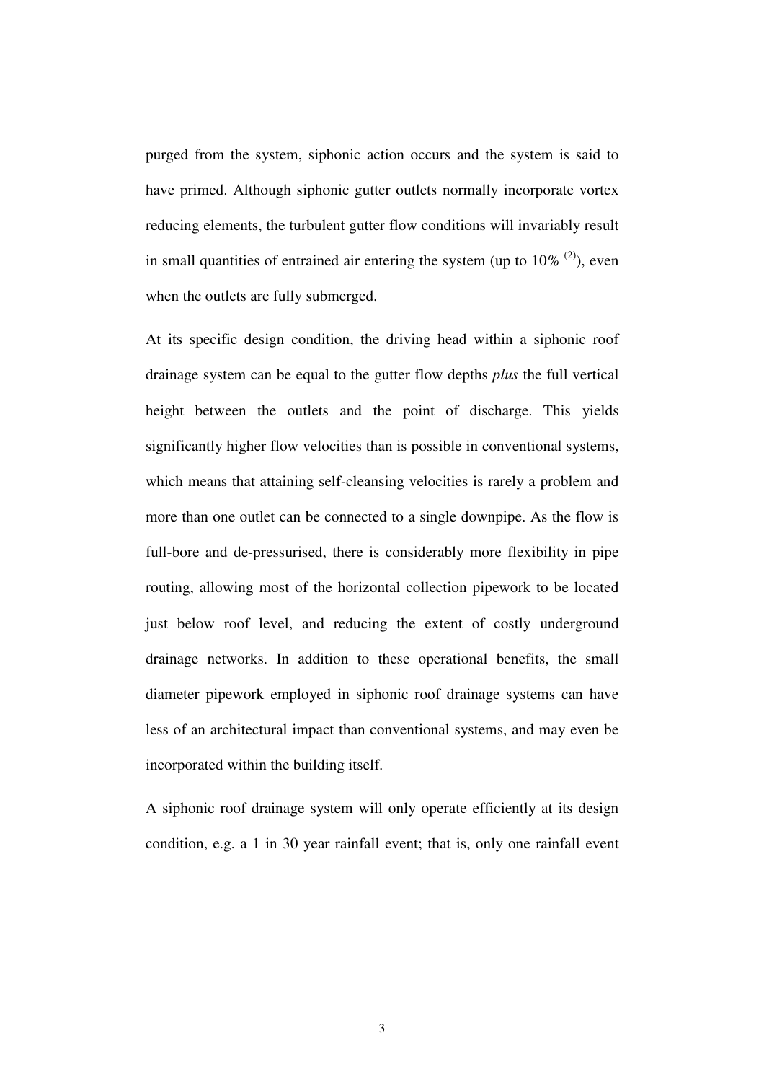purged from the system, siphonic action occurs and the system is said to have primed. Although siphonic gutter outlets normally incorporate vortex reducing elements, the turbulent gutter flow conditions will invariably result in small quantities of entrained air entering the system (up to  $10\%$ <sup>(2)</sup>), even when the outlets are fully submerged.

At its specific design condition, the driving head within a siphonic roof drainage system can be equal to the gutter flow depths *plus* the full vertical height between the outlets and the point of discharge. This yields significantly higher flow velocities than is possible in conventional systems, which means that attaining self-cleansing velocities is rarely a problem and more than one outlet can be connected to a single downpipe. As the flow is full-bore and de-pressurised, there is considerably more flexibility in pipe routing, allowing most of the horizontal collection pipework to be located just below roof level, and reducing the extent of costly underground drainage networks. In addition to these operational benefits, the small diameter pipework employed in siphonic roof drainage systems can have less of an architectural impact than conventional systems, and may even be incorporated within the building itself.

A siphonic roof drainage system will only operate efficiently at its design condition, e.g. a 1 in 30 year rainfall event; that is, only one rainfall event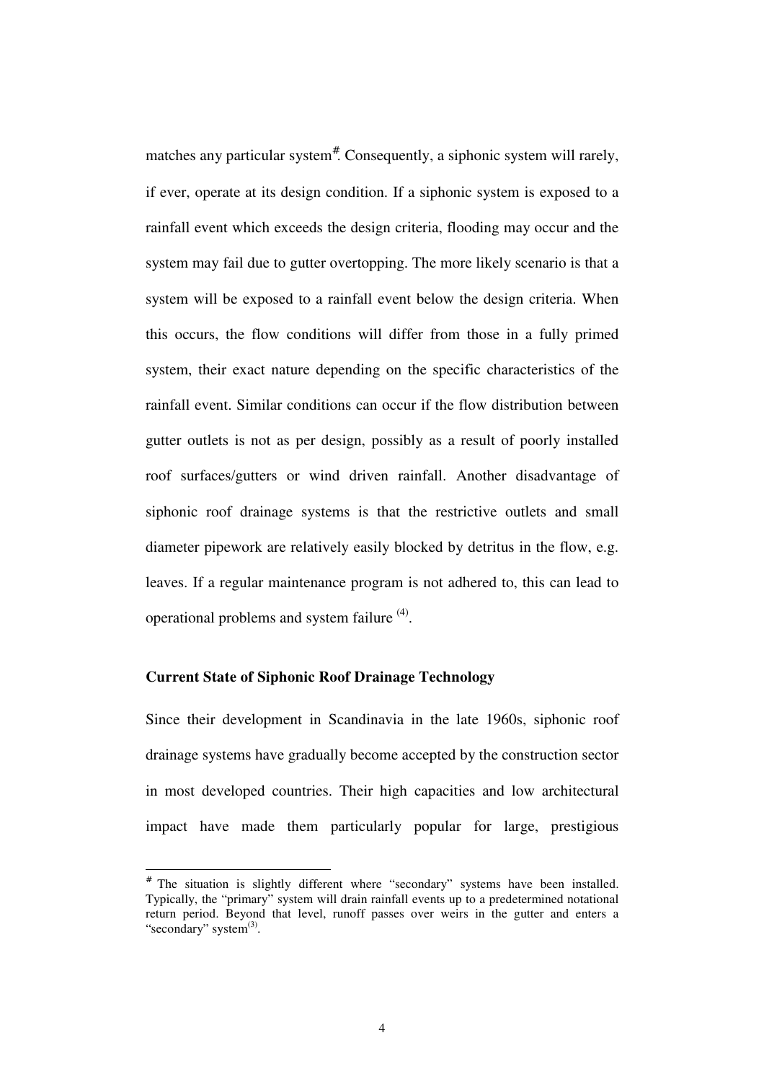matches any particular system<sup>#</sup>. Consequently, a siphonic system will rarely, if ever, operate at its design condition. If a siphonic system is exposed to a rainfall event which exceeds the design criteria, flooding may occur and the system may fail due to gutter overtopping. The more likely scenario is that a system will be exposed to a rainfall event below the design criteria. When this occurs, the flow conditions will differ from those in a fully primed system, their exact nature depending on the specific characteristics of the rainfall event. Similar conditions can occur if the flow distribution between gutter outlets is not as per design, possibly as a result of poorly installed roof surfaces/gutters or wind driven rainfall. Another disadvantage of siphonic roof drainage systems is that the restrictive outlets and small diameter pipework are relatively easily blocked by detritus in the flow, e.g. leaves. If a regular maintenance program is not adhered to, this can lead to operational problems and system failure <sup>(4)</sup>.

#### **Current State of Siphonic Roof Drainage Technology**

-

Since their development in Scandinavia in the late 1960s, siphonic roof drainage systems have gradually become accepted by the construction sector in most developed countries. Their high capacities and low architectural impact have made them particularly popular for large, prestigious

<sup>#</sup> The situation is slightly different where "secondary" systems have been installed. Typically, the "primary" system will drain rainfall events up to a predetermined notational return period. Beyond that level, runoff passes over weirs in the gutter and enters a "secondary" system<sup>(3)</sup>.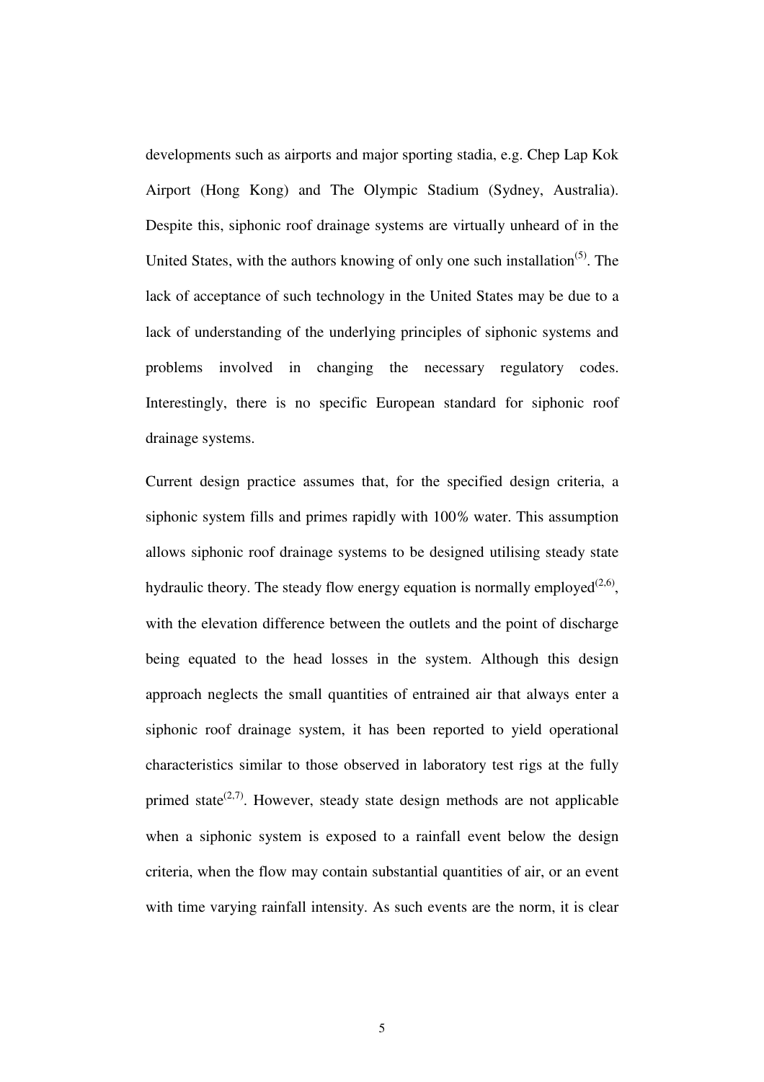developments such as airports and major sporting stadia, e.g. Chep Lap Kok Airport (Hong Kong) and The Olympic Stadium (Sydney, Australia). Despite this, siphonic roof drainage systems are virtually unheard of in the United States, with the authors knowing of only one such installation<sup> $(5)$ </sup>. The lack of acceptance of such technology in the United States may be due to a lack of understanding of the underlying principles of siphonic systems and problems involved in changing the necessary regulatory codes. Interestingly, there is no specific European standard for siphonic roof drainage systems.

Current design practice assumes that, for the specified design criteria, a siphonic system fills and primes rapidly with 100*%* water. This assumption allows siphonic roof drainage systems to be designed utilising steady state hydraulic theory. The steady flow energy equation is normally employed<sup> $(2,6)$ </sup>, with the elevation difference between the outlets and the point of discharge being equated to the head losses in the system. Although this design approach neglects the small quantities of entrained air that always enter a siphonic roof drainage system, it has been reported to yield operational characteristics similar to those observed in laboratory test rigs at the fully primed state<sup> $(2,7)$ </sup>. However, steady state design methods are not applicable when a siphonic system is exposed to a rainfall event below the design criteria, when the flow may contain substantial quantities of air, or an event with time varying rainfall intensity. As such events are the norm, it is clear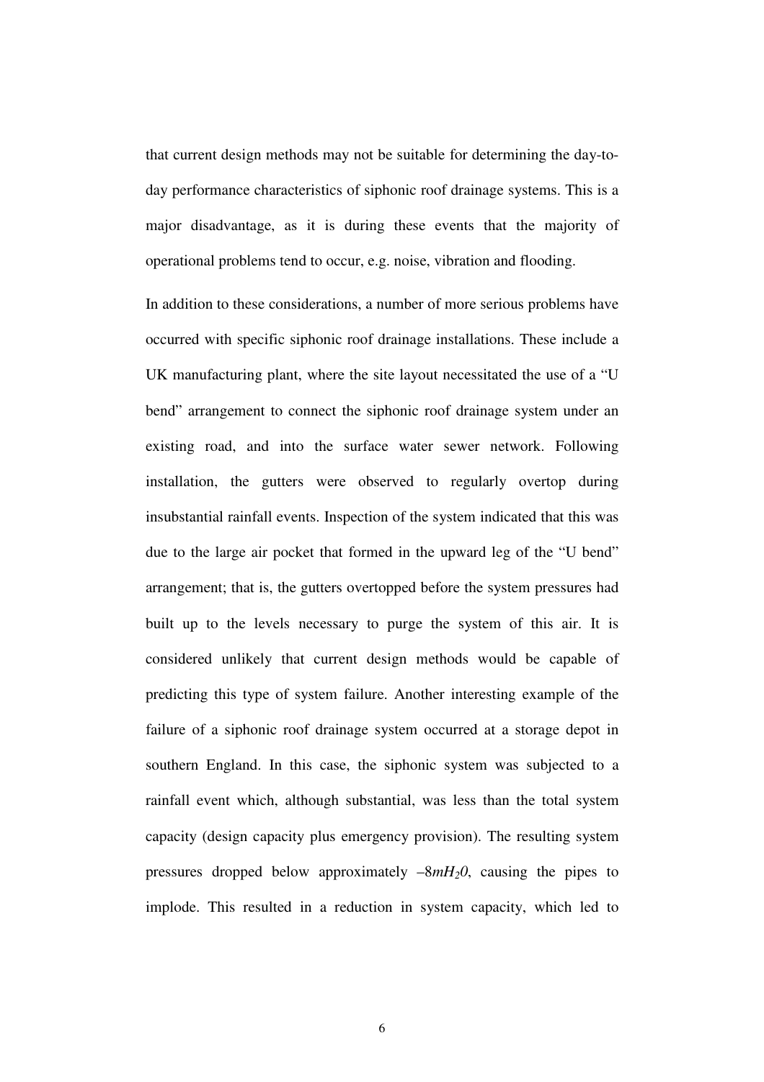that current design methods may not be suitable for determining the day-today performance characteristics of siphonic roof drainage systems. This is a major disadvantage, as it is during these events that the majority of operational problems tend to occur, e.g. noise, vibration and flooding.

In addition to these considerations, a number of more serious problems have occurred with specific siphonic roof drainage installations. These include a UK manufacturing plant, where the site layout necessitated the use of a "U bend" arrangement to connect the siphonic roof drainage system under an existing road, and into the surface water sewer network. Following installation, the gutters were observed to regularly overtop during insubstantial rainfall events. Inspection of the system indicated that this was due to the large air pocket that formed in the upward leg of the "U bend" arrangement; that is, the gutters overtopped before the system pressures had built up to the levels necessary to purge the system of this air. It is considered unlikely that current design methods would be capable of predicting this type of system failure. Another interesting example of the failure of a siphonic roof drainage system occurred at a storage depot in southern England. In this case, the siphonic system was subjected to a rainfall event which, although substantial, was less than the total system capacity (design capacity plus emergency provision). The resulting system pressures dropped below approximately –8*mH20*, causing the pipes to implode. This resulted in a reduction in system capacity, which led to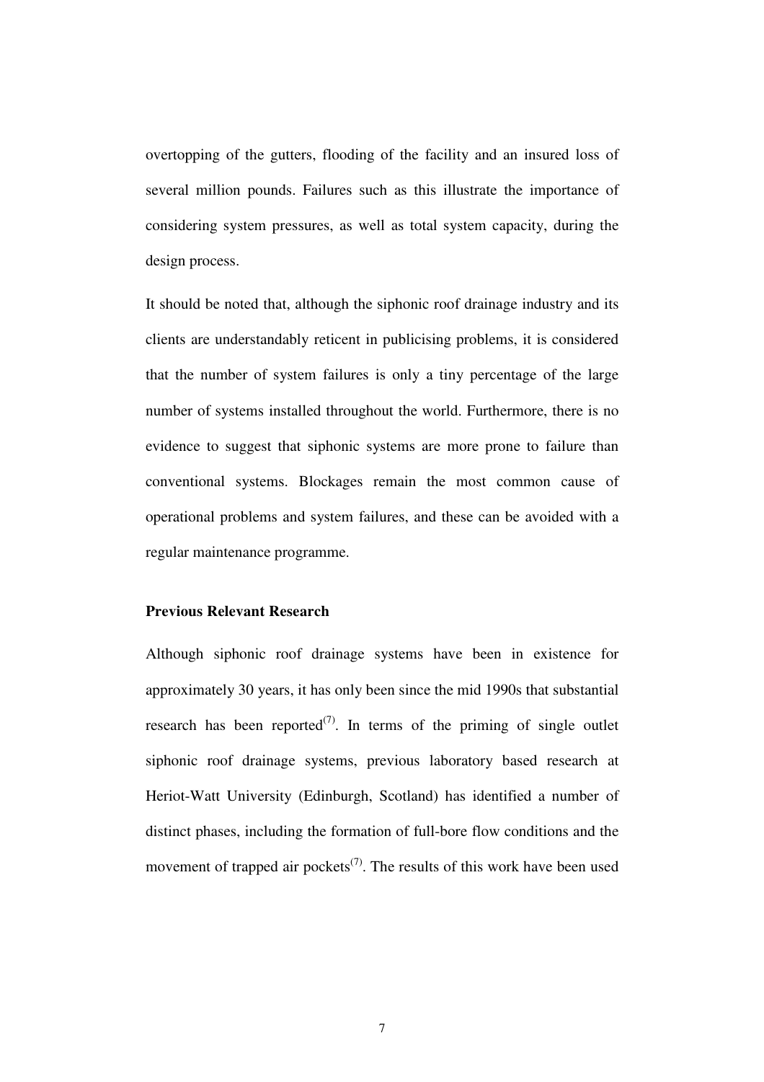overtopping of the gutters, flooding of the facility and an insured loss of several million pounds. Failures such as this illustrate the importance of considering system pressures, as well as total system capacity, during the design process.

It should be noted that, although the siphonic roof drainage industry and its clients are understandably reticent in publicising problems, it is considered that the number of system failures is only a tiny percentage of the large number of systems installed throughout the world. Furthermore, there is no evidence to suggest that siphonic systems are more prone to failure than conventional systems. Blockages remain the most common cause of operational problems and system failures, and these can be avoided with a regular maintenance programme.

## **Previous Relevant Research**

Although siphonic roof drainage systems have been in existence for approximately 30 years, it has only been since the mid 1990s that substantial research has been reported<sup>(7)</sup>. In terms of the priming of single outlet siphonic roof drainage systems, previous laboratory based research at Heriot-Watt University (Edinburgh, Scotland) has identified a number of distinct phases, including the formation of full-bore flow conditions and the movement of trapped air pockets<sup> $(7)$ </sup>. The results of this work have been used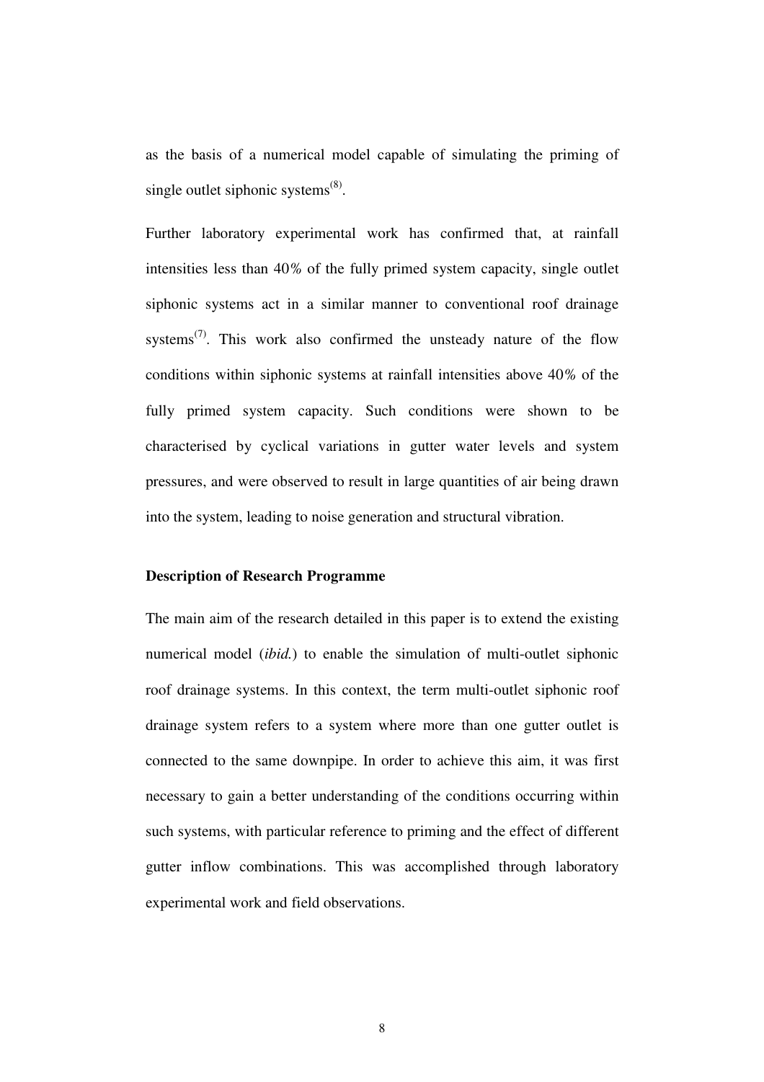as the basis of a numerical model capable of simulating the priming of single outlet siphonic systems $^{(8)}$ .

Further laboratory experimental work has confirmed that, at rainfall intensities less than 40*%* of the fully primed system capacity, single outlet siphonic systems act in a similar manner to conventional roof drainage systems<sup> $(7)$ </sup>. This work also confirmed the unsteady nature of the flow conditions within siphonic systems at rainfall intensities above 40*%* of the fully primed system capacity. Such conditions were shown to be characterised by cyclical variations in gutter water levels and system pressures, and were observed to result in large quantities of air being drawn into the system, leading to noise generation and structural vibration.

#### **Description of Research Programme**

The main aim of the research detailed in this paper is to extend the existing numerical model (*ibid.*) to enable the simulation of multi-outlet siphonic roof drainage systems. In this context, the term multi-outlet siphonic roof drainage system refers to a system where more than one gutter outlet is connected to the same downpipe. In order to achieve this aim, it was first necessary to gain a better understanding of the conditions occurring within such systems, with particular reference to priming and the effect of different gutter inflow combinations. This was accomplished through laboratory experimental work and field observations.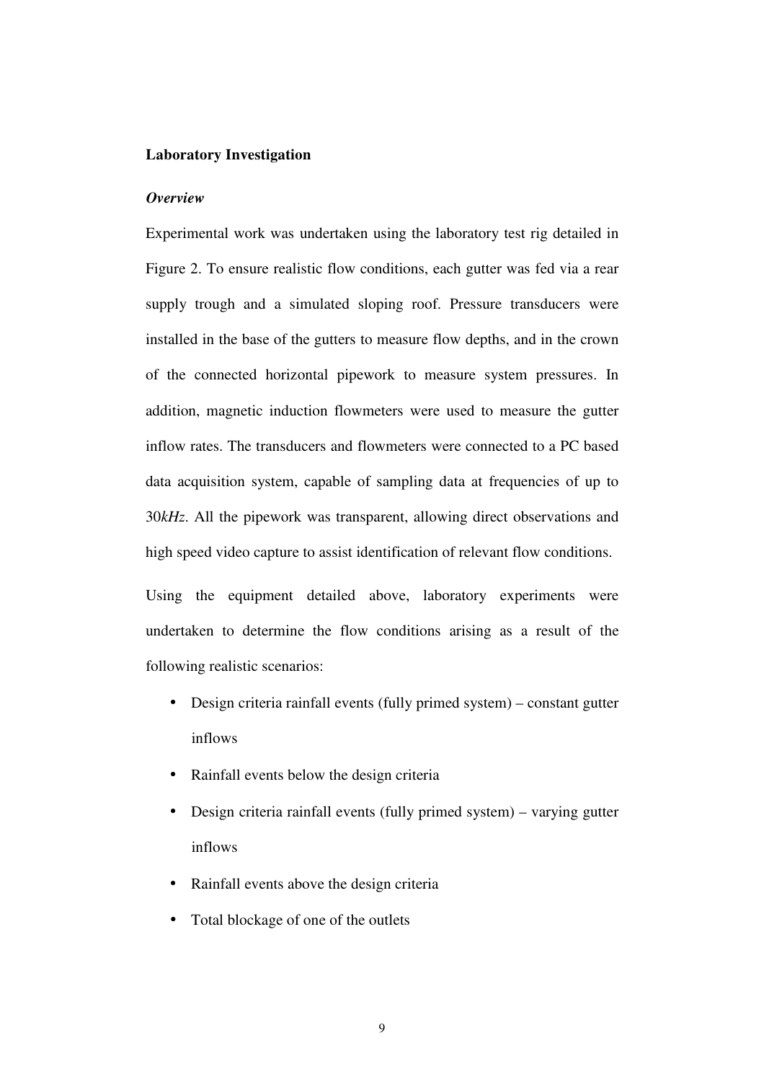#### **Laboratory Investigation**

#### *Overview*

Experimental work was undertaken using the laboratory test rig detailed in Figure 2. To ensure realistic flow conditions, each gutter was fed via a rear supply trough and a simulated sloping roof. Pressure transducers were installed in the base of the gutters to measure flow depths, and in the crown of the connected horizontal pipework to measure system pressures. In addition, magnetic induction flowmeters were used to measure the gutter inflow rates. The transducers and flowmeters were connected to a PC based data acquisition system, capable of sampling data at frequencies of up to 30*kHz*. All the pipework was transparent, allowing direct observations and high speed video capture to assist identification of relevant flow conditions.

Using the equipment detailed above, laboratory experiments were undertaken to determine the flow conditions arising as a result of the following realistic scenarios:

- Design criteria rainfall events (fully primed system) constant gutter inflows
- Rainfall events below the design criteria
- Design criteria rainfall events (fully primed system) varying gutter inflows
- Rainfall events above the design criteria
- Total blockage of one of the outlets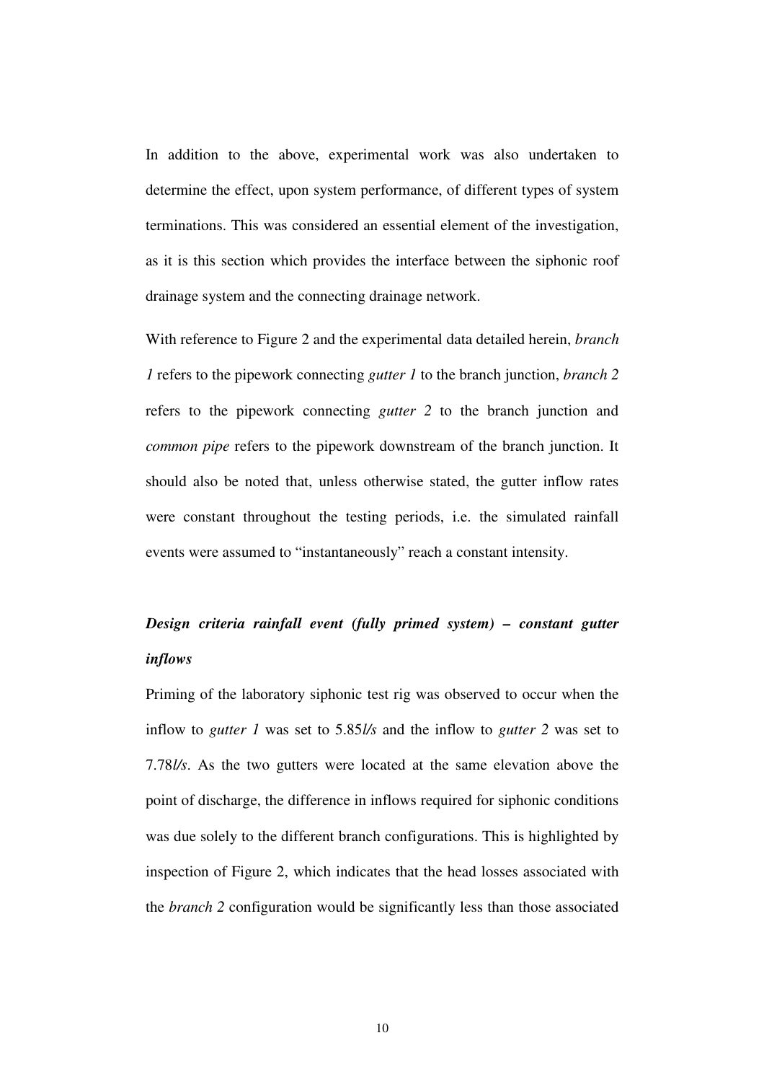In addition to the above, experimental work was also undertaken to determine the effect, upon system performance, of different types of system terminations. This was considered an essential element of the investigation, as it is this section which provides the interface between the siphonic roof drainage system and the connecting drainage network.

With reference to Figure 2 and the experimental data detailed herein, *branch 1* refers to the pipework connecting *gutter 1* to the branch junction, *branch 2* refers to the pipework connecting *gutter 2* to the branch junction and *common pipe* refers to the pipework downstream of the branch junction. It should also be noted that, unless otherwise stated, the gutter inflow rates were constant throughout the testing periods, i.e. the simulated rainfall events were assumed to "instantaneously" reach a constant intensity.

# *Design criteria rainfall event (fully primed system) – constant gutter inflows*

Priming of the laboratory siphonic test rig was observed to occur when the inflow to *gutter 1* was set to 5.85*l/s* and the inflow to *gutter 2* was set to 7.78*l/s*. As the two gutters were located at the same elevation above the point of discharge, the difference in inflows required for siphonic conditions was due solely to the different branch configurations. This is highlighted by inspection of Figure 2, which indicates that the head losses associated with the *branch 2* configuration would be significantly less than those associated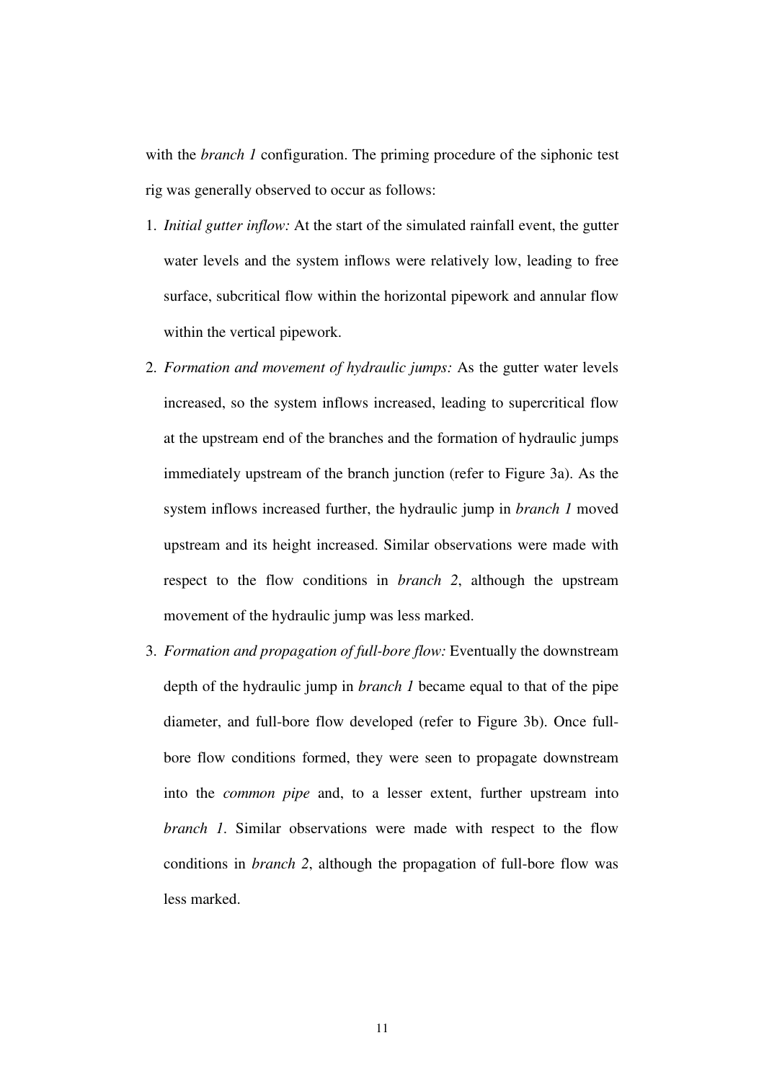with the *branch 1* configuration. The priming procedure of the siphonic test rig was generally observed to occur as follows:

- 1. *Initial gutter inflow:* At the start of the simulated rainfall event, the gutter water levels and the system inflows were relatively low, leading to free surface, subcritical flow within the horizontal pipework and annular flow within the vertical pipework.
- 2. *Formation and movement of hydraulic jumps:* As the gutter water levels increased, so the system inflows increased, leading to supercritical flow at the upstream end of the branches and the formation of hydraulic jumps immediately upstream of the branch junction (refer to Figure 3a). As the system inflows increased further, the hydraulic jump in *branch 1* moved upstream and its height increased. Similar observations were made with respect to the flow conditions in *branch 2*, although the upstream movement of the hydraulic jump was less marked.
- 3. *Formation and propagation of full-bore flow:* Eventually the downstream depth of the hydraulic jump in *branch 1* became equal to that of the pipe diameter, and full-bore flow developed (refer to Figure 3b). Once fullbore flow conditions formed, they were seen to propagate downstream into the *common pipe* and, to a lesser extent, further upstream into *branch 1*. Similar observations were made with respect to the flow conditions in *branch 2*, although the propagation of full-bore flow was less marked.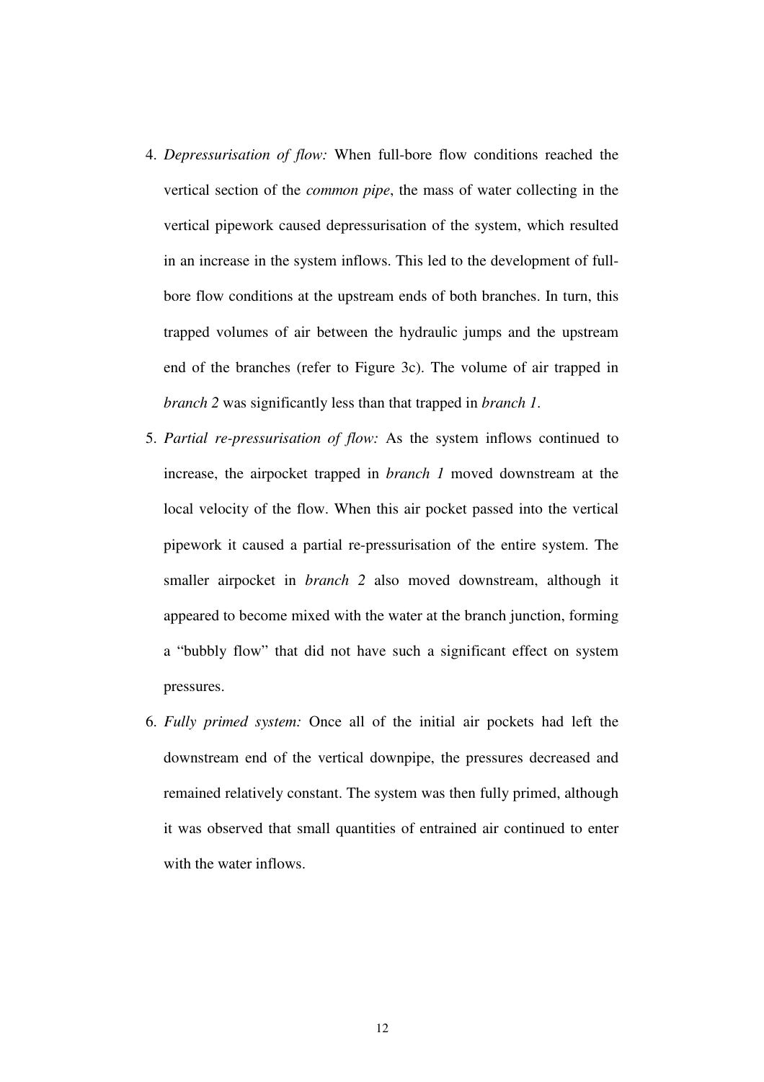- 4. *Depressurisation of flow:* When full-bore flow conditions reached the vertical section of the *common pipe*, the mass of water collecting in the vertical pipework caused depressurisation of the system, which resulted in an increase in the system inflows. This led to the development of fullbore flow conditions at the upstream ends of both branches. In turn, this trapped volumes of air between the hydraulic jumps and the upstream end of the branches (refer to Figure 3c). The volume of air trapped in *branch 2* was significantly less than that trapped in *branch 1*.
- 5. *Partial re-pressurisation of flow:* As the system inflows continued to increase, the airpocket trapped in *branch 1* moved downstream at the local velocity of the flow. When this air pocket passed into the vertical pipework it caused a partial re-pressurisation of the entire system. The smaller airpocket in *branch 2* also moved downstream, although it appeared to become mixed with the water at the branch junction, forming a "bubbly flow" that did not have such a significant effect on system pressures.
- 6. *Fully primed system:* Once all of the initial air pockets had left the downstream end of the vertical downpipe, the pressures decreased and remained relatively constant. The system was then fully primed, although it was observed that small quantities of entrained air continued to enter with the water inflows.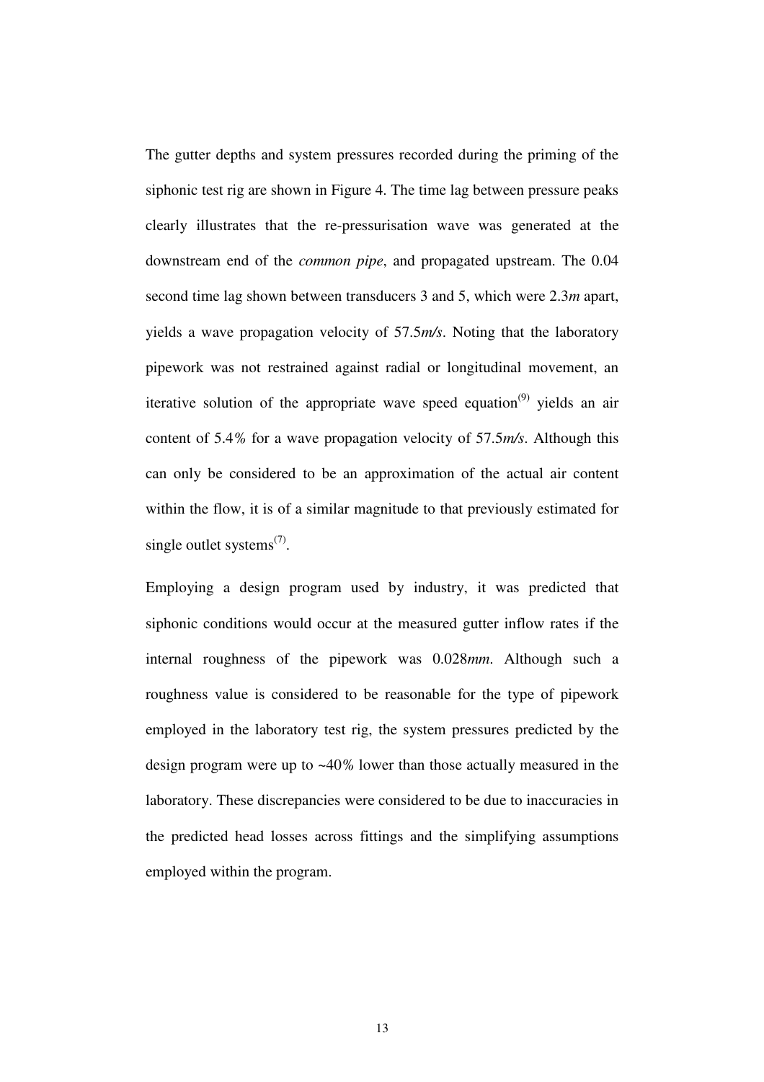The gutter depths and system pressures recorded during the priming of the siphonic test rig are shown in Figure 4. The time lag between pressure peaks clearly illustrates that the re-pressurisation wave was generated at the downstream end of the *common pipe*, and propagated upstream. The 0.04 second time lag shown between transducers 3 and 5, which were 2.3*m* apart, yields a wave propagation velocity of 57.5*m/s*. Noting that the laboratory pipework was not restrained against radial or longitudinal movement, an iterative solution of the appropriate wave speed equation<sup> $(9)$ </sup> yields an air content of 5.4*%* for a wave propagation velocity of 57.5*m/s*. Although this can only be considered to be an approximation of the actual air content within the flow, it is of a similar magnitude to that previously estimated for single outlet systems<sup> $(7)$ </sup>.

Employing a design program used by industry, it was predicted that siphonic conditions would occur at the measured gutter inflow rates if the internal roughness of the pipework was 0.028*mm*. Although such a roughness value is considered to be reasonable for the type of pipework employed in the laboratory test rig, the system pressures predicted by the design program were up to ~40*%* lower than those actually measured in the laboratory. These discrepancies were considered to be due to inaccuracies in the predicted head losses across fittings and the simplifying assumptions employed within the program.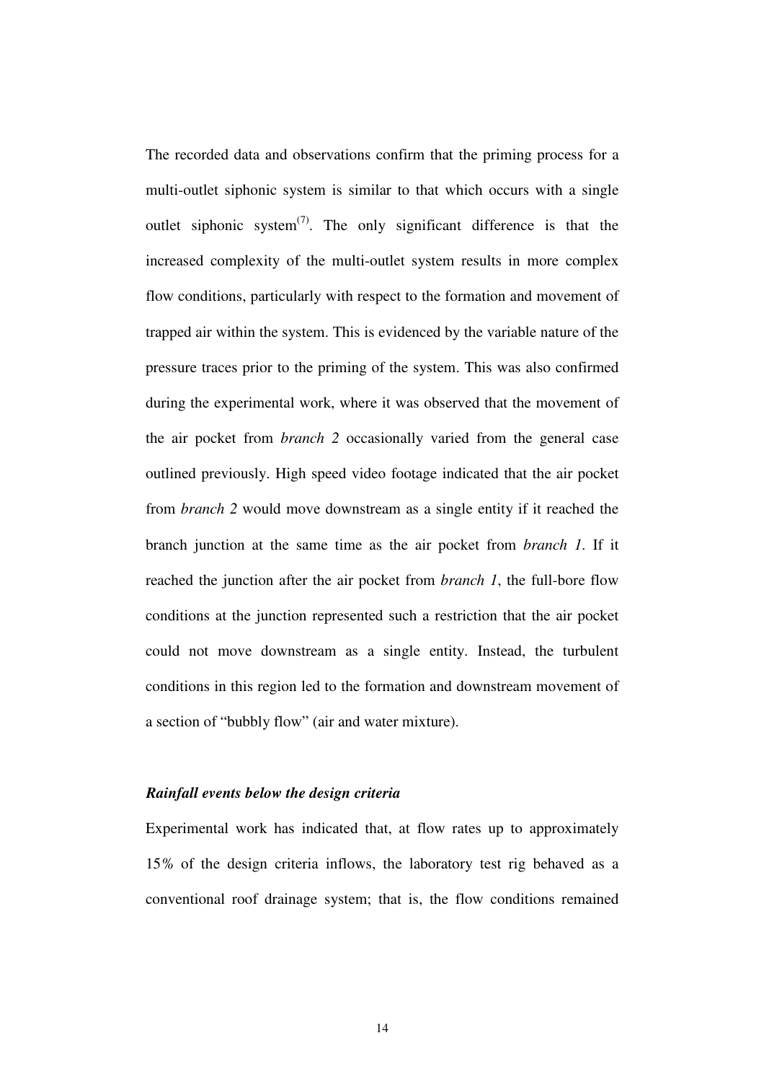The recorded data and observations confirm that the priming process for a multi-outlet siphonic system is similar to that which occurs with a single outlet siphonic system<sup> $(7)$ </sup>. The only significant difference is that the increased complexity of the multi-outlet system results in more complex flow conditions, particularly with respect to the formation and movement of trapped air within the system. This is evidenced by the variable nature of the pressure traces prior to the priming of the system. This was also confirmed during the experimental work, where it was observed that the movement of the air pocket from *branch 2* occasionally varied from the general case outlined previously. High speed video footage indicated that the air pocket from *branch 2* would move downstream as a single entity if it reached the branch junction at the same time as the air pocket from *branch 1*. If it reached the junction after the air pocket from *branch 1*, the full-bore flow conditions at the junction represented such a restriction that the air pocket could not move downstream as a single entity. Instead, the turbulent conditions in this region led to the formation and downstream movement of a section of "bubbly flow" (air and water mixture).

### *Rainfall events below the design criteria*

Experimental work has indicated that, at flow rates up to approximately 15*%* of the design criteria inflows, the laboratory test rig behaved as a conventional roof drainage system; that is, the flow conditions remained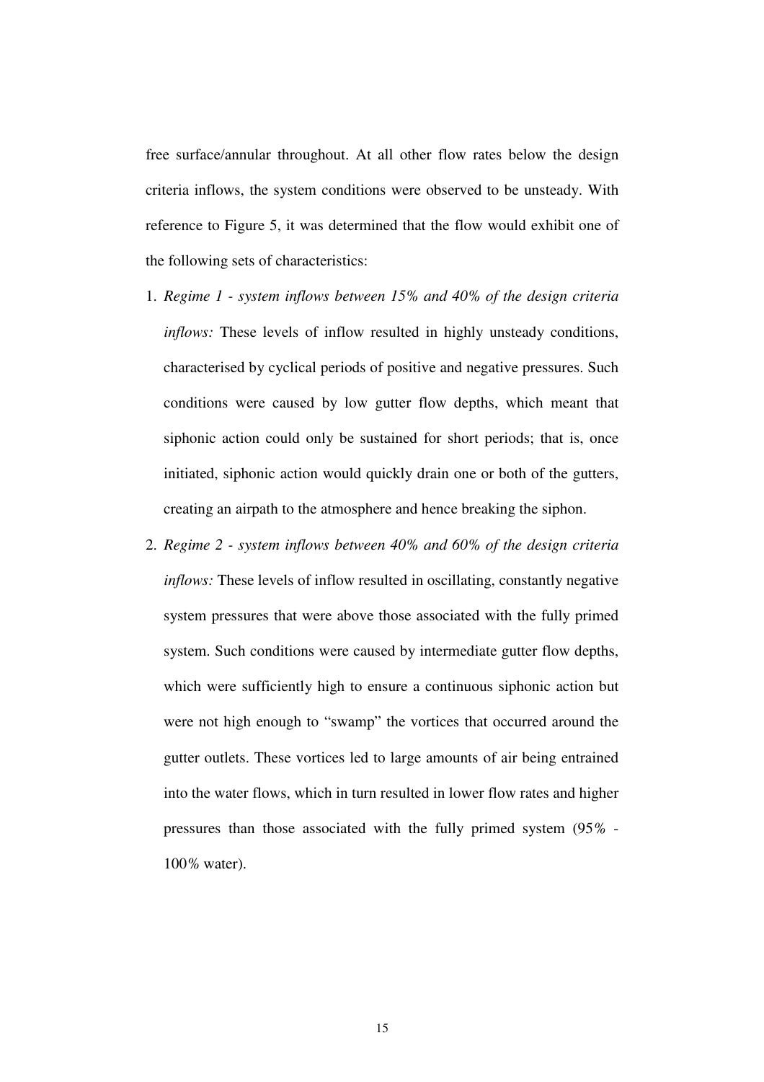free surface/annular throughout. At all other flow rates below the design criteria inflows, the system conditions were observed to be unsteady. With reference to Figure 5, it was determined that the flow would exhibit one of the following sets of characteristics:

- 1. *Regime 1 system inflows between 15% and 40% of the design criteria inflows:* These levels of inflow resulted in highly unsteady conditions, characterised by cyclical periods of positive and negative pressures. Such conditions were caused by low gutter flow depths, which meant that siphonic action could only be sustained for short periods; that is, once initiated, siphonic action would quickly drain one or both of the gutters, creating an airpath to the atmosphere and hence breaking the siphon.
- 2. *Regime 2 system inflows between 40% and 60% of the design criteria inflows:* These levels of inflow resulted in oscillating, constantly negative system pressures that were above those associated with the fully primed system. Such conditions were caused by intermediate gutter flow depths, which were sufficiently high to ensure a continuous siphonic action but were not high enough to "swamp" the vortices that occurred around the gutter outlets. These vortices led to large amounts of air being entrained into the water flows, which in turn resulted in lower flow rates and higher pressures than those associated with the fully primed system (95*%* - 100*%* water).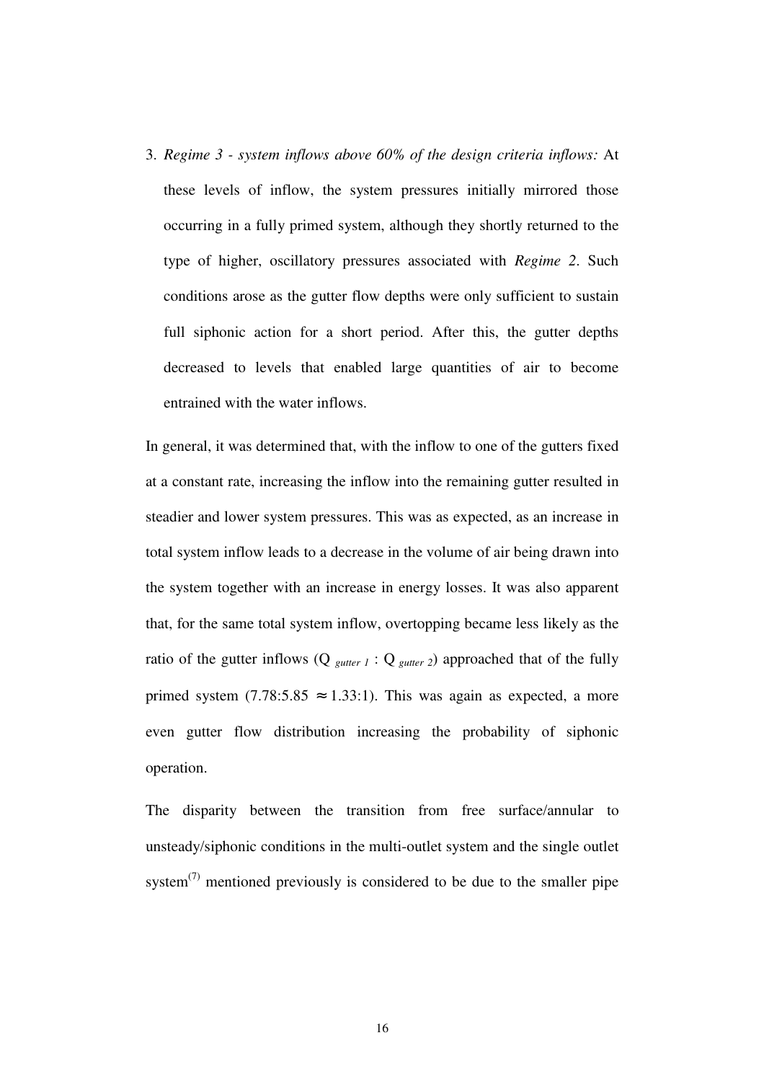3. *Regime 3 - system inflows above 60% of the design criteria inflows:* At these levels of inflow, the system pressures initially mirrored those occurring in a fully primed system, although they shortly returned to the type of higher, oscillatory pressures associated with *Regime 2*. Such conditions arose as the gutter flow depths were only sufficient to sustain full siphonic action for a short period. After this, the gutter depths decreased to levels that enabled large quantities of air to become entrained with the water inflows.

In general, it was determined that, with the inflow to one of the gutters fixed at a constant rate, increasing the inflow into the remaining gutter resulted in steadier and lower system pressures. This was as expected, as an increase in total system inflow leads to a decrease in the volume of air being drawn into the system together with an increase in energy losses. It was also apparent that, for the same total system inflow, overtopping became less likely as the ratio of the gutter inflows  $(Q_{gutter 1}: Q_{gutter 2})$  approached that of the fully primed system (7.78:5.85  $\approx$  1.33:1). This was again as expected, a more even gutter flow distribution increasing the probability of siphonic operation.

The disparity between the transition from free surface/annular to unsteady/siphonic conditions in the multi-outlet system and the single outlet system<sup> $(7)$ </sup> mentioned previously is considered to be due to the smaller pipe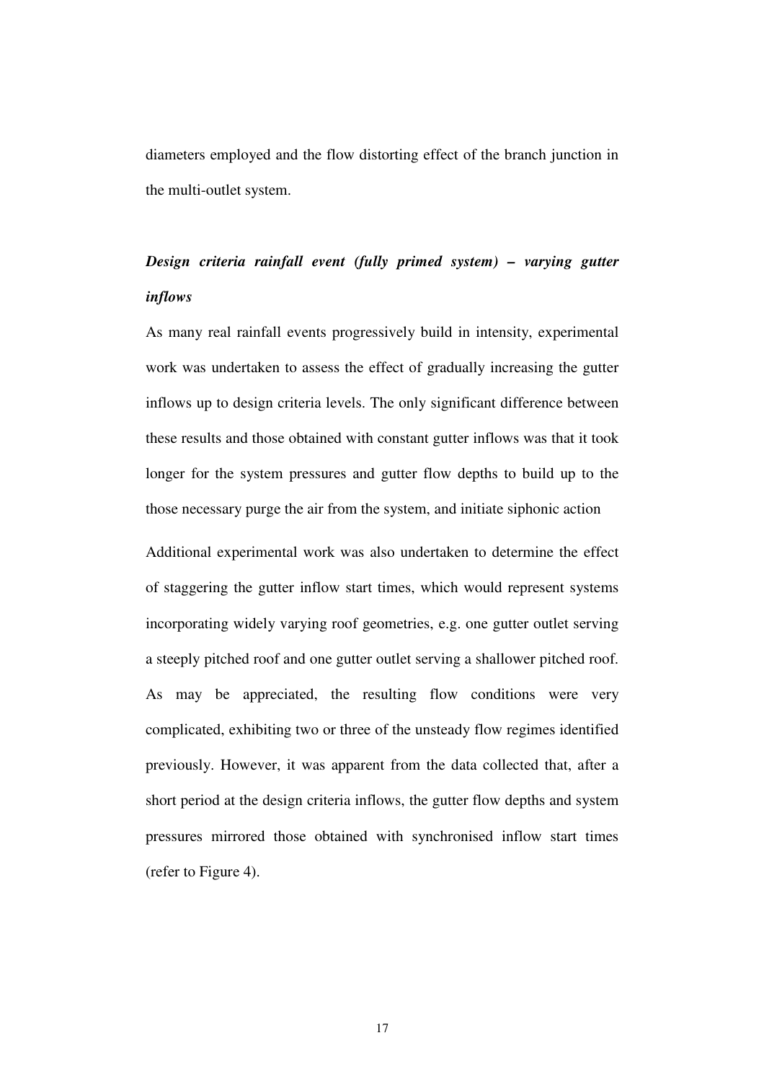diameters employed and the flow distorting effect of the branch junction in the multi-outlet system.

# *Design criteria rainfall event (fully primed system) – varying gutter inflows*

As many real rainfall events progressively build in intensity, experimental work was undertaken to assess the effect of gradually increasing the gutter inflows up to design criteria levels. The only significant difference between these results and those obtained with constant gutter inflows was that it took longer for the system pressures and gutter flow depths to build up to the those necessary purge the air from the system, and initiate siphonic action

Additional experimental work was also undertaken to determine the effect of staggering the gutter inflow start times, which would represent systems incorporating widely varying roof geometries, e.g. one gutter outlet serving a steeply pitched roof and one gutter outlet serving a shallower pitched roof. As may be appreciated, the resulting flow conditions were very complicated, exhibiting two or three of the unsteady flow regimes identified previously. However, it was apparent from the data collected that, after a short period at the design criteria inflows, the gutter flow depths and system pressures mirrored those obtained with synchronised inflow start times (refer to Figure 4).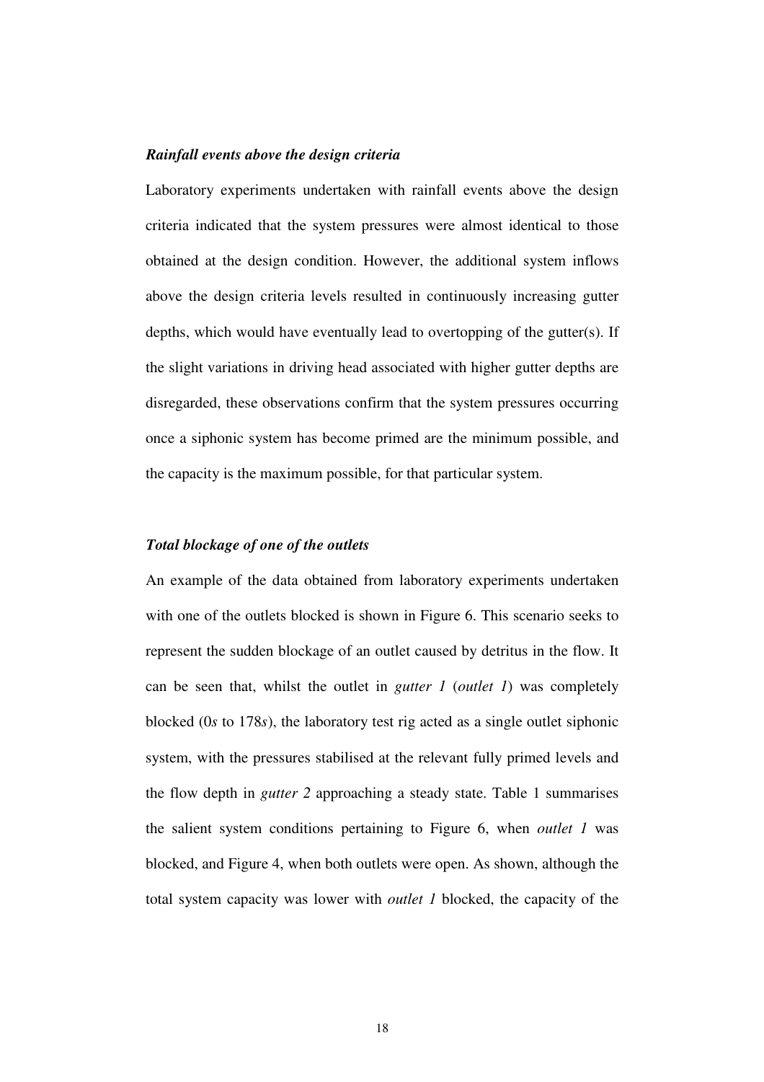#### *Rainfall events above the design criteria*

Laboratory experiments undertaken with rainfall events above the design criteria indicated that the system pressures were almost identical to those obtained at the design condition. However, the additional system inflows above the design criteria levels resulted in continuously increasing gutter depths, which would have eventually lead to overtopping of the gutter(s). If the slight variations in driving head associated with higher gutter depths are disregarded, these observations confirm that the system pressures occurring once a siphonic system has become primed are the minimum possible, and the capacity is the maximum possible, for that particular system.

#### *Total blockage of one of the outlets*

An example of the data obtained from laboratory experiments undertaken with one of the outlets blocked is shown in Figure 6. This scenario seeks to represent the sudden blockage of an outlet caused by detritus in the flow. It can be seen that, whilst the outlet in *gutter 1* (*outlet 1*) was completely blocked (0*s* to 178*s*), the laboratory test rig acted as a single outlet siphonic system, with the pressures stabilised at the relevant fully primed levels and the flow depth in *gutter 2* approaching a steady state. Table 1 summarises the salient system conditions pertaining to Figure 6, when *outlet 1* was blocked, and Figure 4, when both outlets were open. As shown, although the total system capacity was lower with *outlet 1* blocked, the capacity of the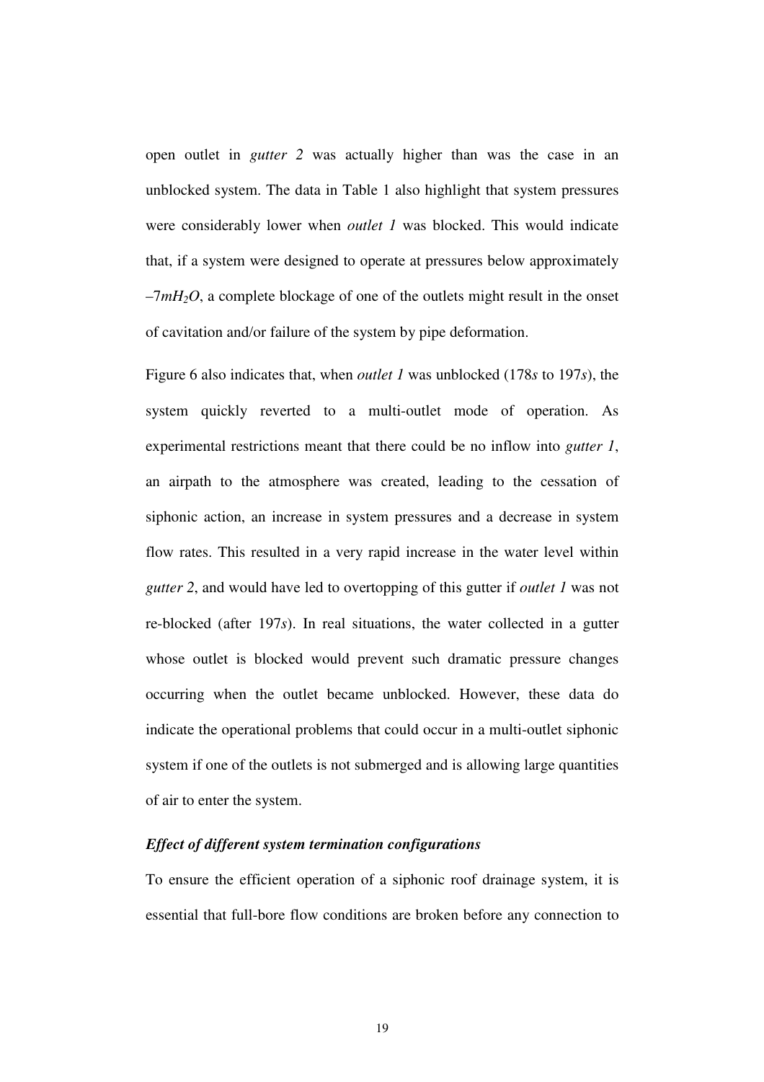open outlet in *gutter 2* was actually higher than was the case in an unblocked system. The data in Table 1 also highlight that system pressures were considerably lower when *outlet 1* was blocked. This would indicate that, if a system were designed to operate at pressures below approximately  $-7mH<sub>2</sub>O$ , a complete blockage of one of the outlets might result in the onset of cavitation and/or failure of the system by pipe deformation.

Figure 6 also indicates that, when *outlet 1* was unblocked (178*s* to 197*s*), the system quickly reverted to a multi-outlet mode of operation. As experimental restrictions meant that there could be no inflow into *gutter 1*, an airpath to the atmosphere was created, leading to the cessation of siphonic action, an increase in system pressures and a decrease in system flow rates. This resulted in a very rapid increase in the water level within *gutter 2*, and would have led to overtopping of this gutter if *outlet 1* was not re-blocked (after 197*s*). In real situations, the water collected in a gutter whose outlet is blocked would prevent such dramatic pressure changes occurring when the outlet became unblocked. However, these data do indicate the operational problems that could occur in a multi-outlet siphonic system if one of the outlets is not submerged and is allowing large quantities of air to enter the system.

#### *Effect of different system termination configurations*

To ensure the efficient operation of a siphonic roof drainage system, it is essential that full-bore flow conditions are broken before any connection to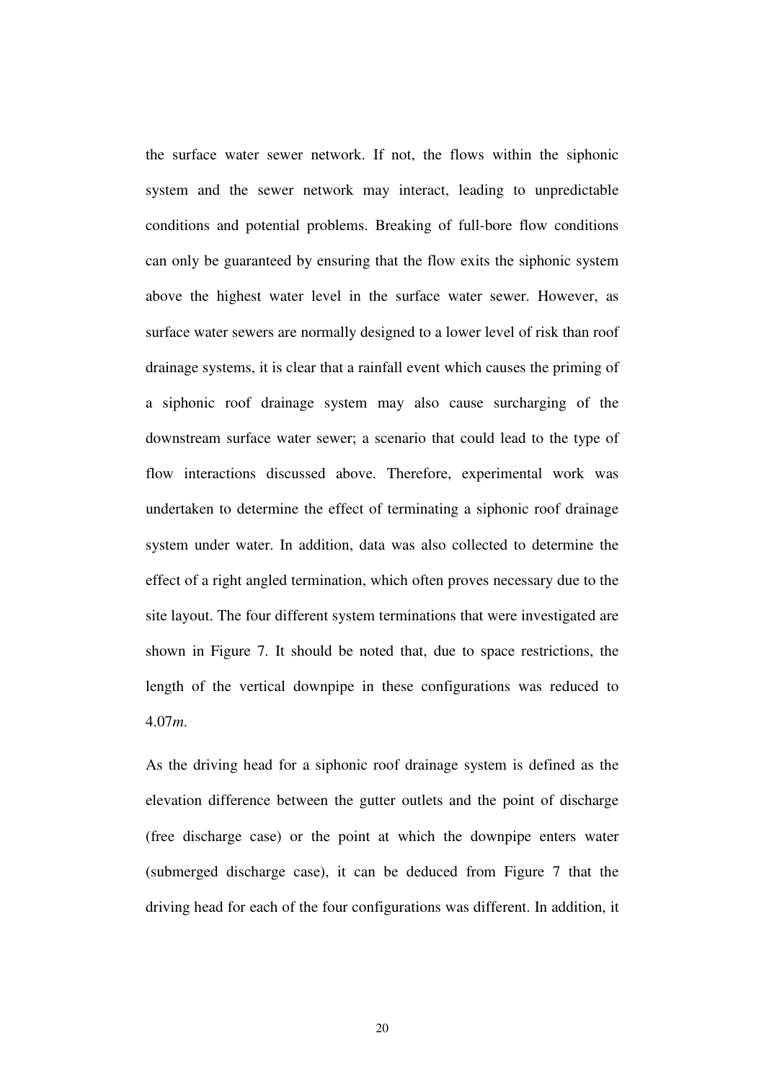the surface water sewer network. If not, the flows within the siphonic system and the sewer network may interact, leading to unpredictable conditions and potential problems. Breaking of full-bore flow conditions can only be guaranteed by ensuring that the flow exits the siphonic system above the highest water level in the surface water sewer. However, as surface water sewers are normally designed to a lower level of risk than roof drainage systems, it is clear that a rainfall event which causes the priming of a siphonic roof drainage system may also cause surcharging of the downstream surface water sewer; a scenario that could lead to the type of flow interactions discussed above. Therefore, experimental work was undertaken to determine the effect of terminating a siphonic roof drainage system under water. In addition, data was also collected to determine the effect of a right angled termination, which often proves necessary due to the site layout. The four different system terminations that were investigated are shown in Figure 7. It should be noted that, due to space restrictions, the length of the vertical downpipe in these configurations was reduced to 4.07*m*.

As the driving head for a siphonic roof drainage system is defined as the elevation difference between the gutter outlets and the point of discharge (free discharge case) or the point at which the downpipe enters water (submerged discharge case), it can be deduced from Figure 7 that the driving head for each of the four configurations was different. In addition, it

20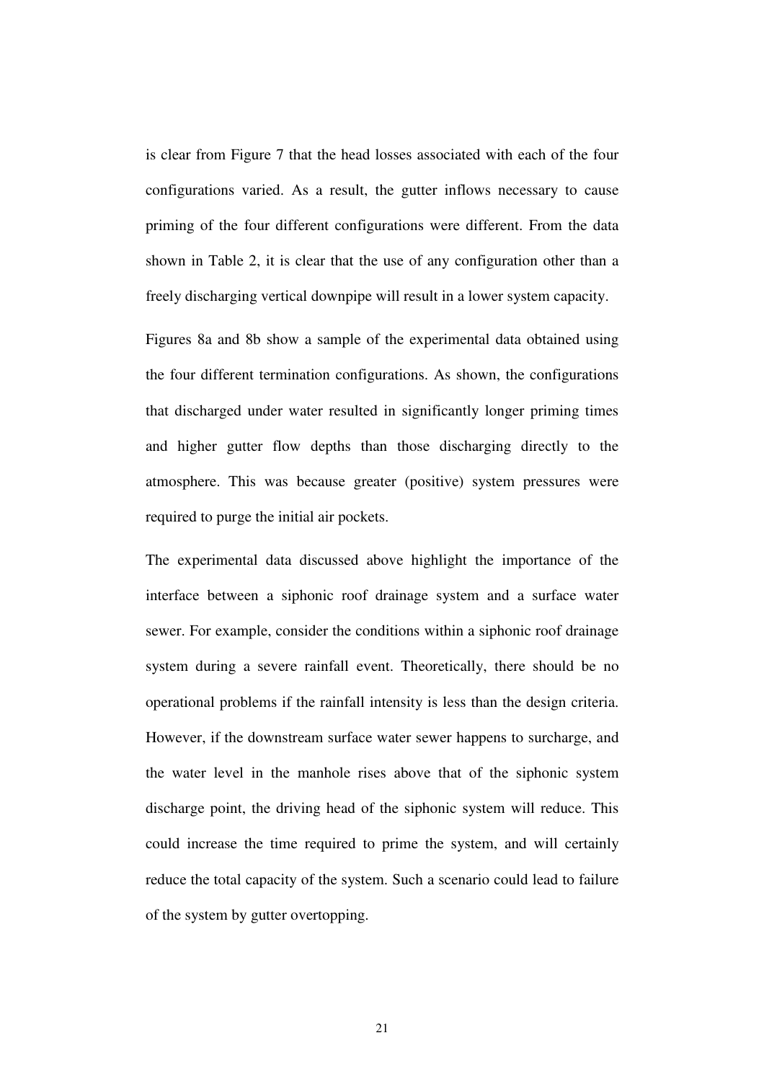is clear from Figure 7 that the head losses associated with each of the four configurations varied. As a result, the gutter inflows necessary to cause priming of the four different configurations were different. From the data shown in Table 2, it is clear that the use of any configuration other than a freely discharging vertical downpipe will result in a lower system capacity.

Figures 8a and 8b show a sample of the experimental data obtained using the four different termination configurations. As shown, the configurations that discharged under water resulted in significantly longer priming times and higher gutter flow depths than those discharging directly to the atmosphere. This was because greater (positive) system pressures were required to purge the initial air pockets.

The experimental data discussed above highlight the importance of the interface between a siphonic roof drainage system and a surface water sewer. For example, consider the conditions within a siphonic roof drainage system during a severe rainfall event. Theoretically, there should be no operational problems if the rainfall intensity is less than the design criteria. However, if the downstream surface water sewer happens to surcharge, and the water level in the manhole rises above that of the siphonic system discharge point, the driving head of the siphonic system will reduce. This could increase the time required to prime the system, and will certainly reduce the total capacity of the system. Such a scenario could lead to failure of the system by gutter overtopping.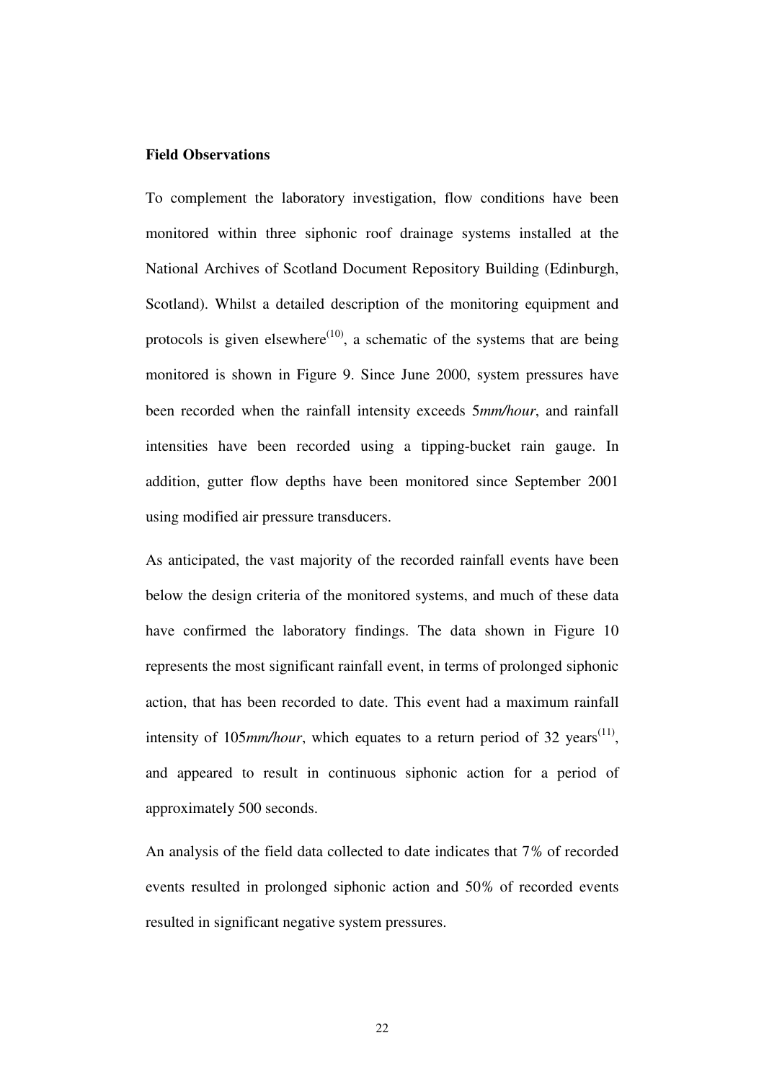#### **Field Observations**

To complement the laboratory investigation, flow conditions have been monitored within three siphonic roof drainage systems installed at the National Archives of Scotland Document Repository Building (Edinburgh, Scotland). Whilst a detailed description of the monitoring equipment and protocols is given elsewhere<sup>(10)</sup>, a schematic of the systems that are being monitored is shown in Figure 9. Since June 2000, system pressures have been recorded when the rainfall intensity exceeds 5*mm/hour*, and rainfall intensities have been recorded using a tipping-bucket rain gauge. In addition, gutter flow depths have been monitored since September 2001 using modified air pressure transducers.

As anticipated, the vast majority of the recorded rainfall events have been below the design criteria of the monitored systems, and much of these data have confirmed the laboratory findings. The data shown in Figure 10 represents the most significant rainfall event, in terms of prolonged siphonic action, that has been recorded to date. This event had a maximum rainfall intensity of 105 $mm/hour$ , which equates to a return period of 32 years<sup>(11)</sup>, and appeared to result in continuous siphonic action for a period of approximately 500 seconds.

An analysis of the field data collected to date indicates that 7*%* of recorded events resulted in prolonged siphonic action and 50*%* of recorded events resulted in significant negative system pressures.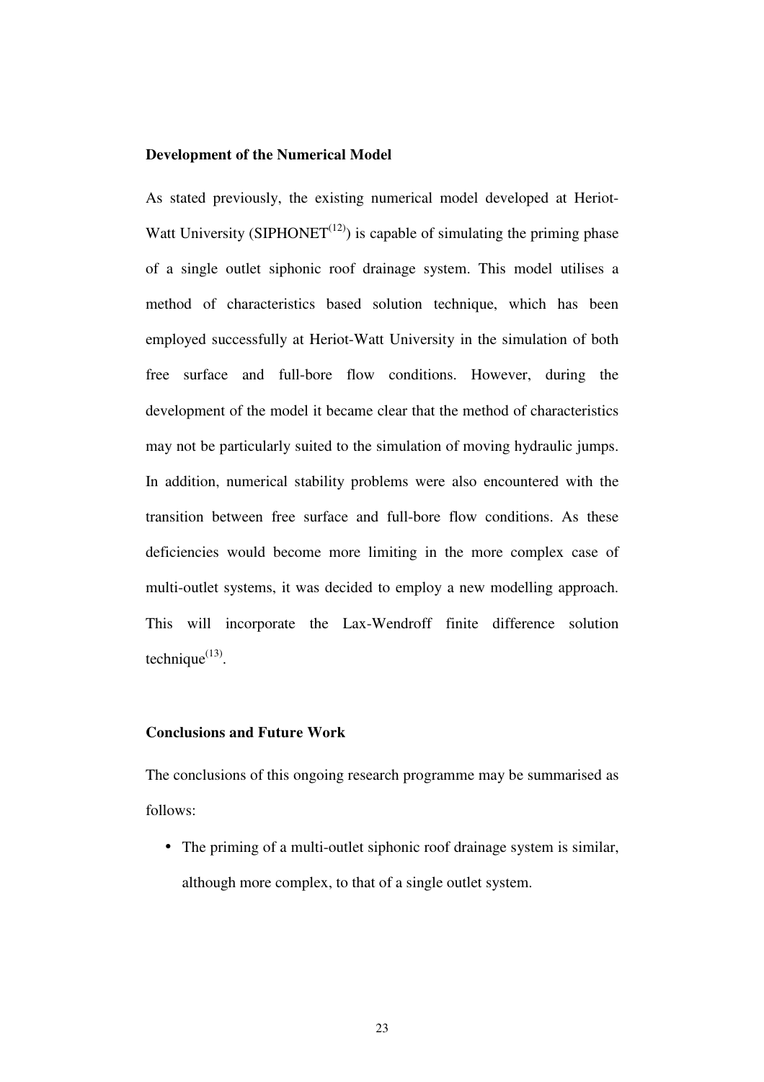#### **Development of the Numerical Model**

As stated previously, the existing numerical model developed at Heriot-Watt University (SIPHONET<sup> $(12)$ </sup>) is capable of simulating the priming phase of a single outlet siphonic roof drainage system. This model utilises a method of characteristics based solution technique, which has been employed successfully at Heriot-Watt University in the simulation of both free surface and full-bore flow conditions. However, during the development of the model it became clear that the method of characteristics may not be particularly suited to the simulation of moving hydraulic jumps. In addition, numerical stability problems were also encountered with the transition between free surface and full-bore flow conditions. As these deficiencies would become more limiting in the more complex case of multi-outlet systems, it was decided to employ a new modelling approach. This will incorporate the Lax-Wendroff finite difference solution technique $^{(13)}$ .

#### **Conclusions and Future Work**

The conclusions of this ongoing research programme may be summarised as follows:

• The priming of a multi-outlet siphonic roof drainage system is similar, although more complex, to that of a single outlet system.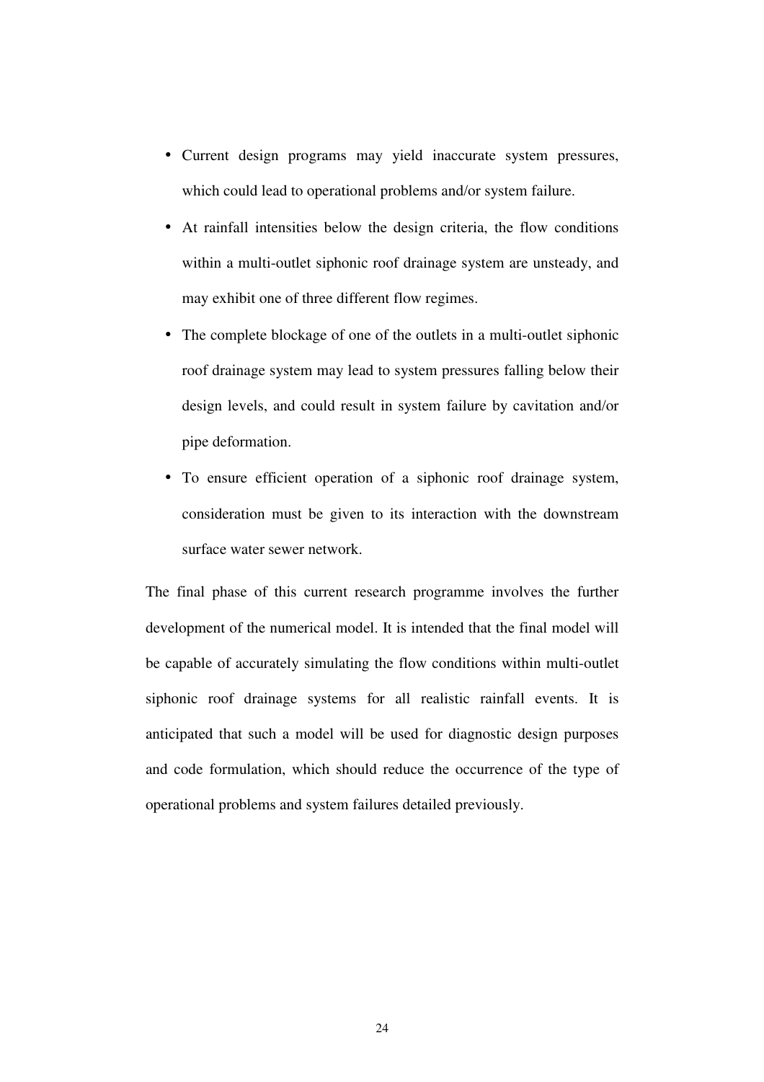- Current design programs may yield inaccurate system pressures, which could lead to operational problems and/or system failure.
- At rainfall intensities below the design criteria, the flow conditions within a multi-outlet siphonic roof drainage system are unsteady, and may exhibit one of three different flow regimes.
- The complete blockage of one of the outlets in a multi-outlet siphonic roof drainage system may lead to system pressures falling below their design levels, and could result in system failure by cavitation and/or pipe deformation.
- To ensure efficient operation of a siphonic roof drainage system, consideration must be given to its interaction with the downstream surface water sewer network.

The final phase of this current research programme involves the further development of the numerical model. It is intended that the final model will be capable of accurately simulating the flow conditions within multi-outlet siphonic roof drainage systems for all realistic rainfall events. It is anticipated that such a model will be used for diagnostic design purposes and code formulation, which should reduce the occurrence of the type of operational problems and system failures detailed previously.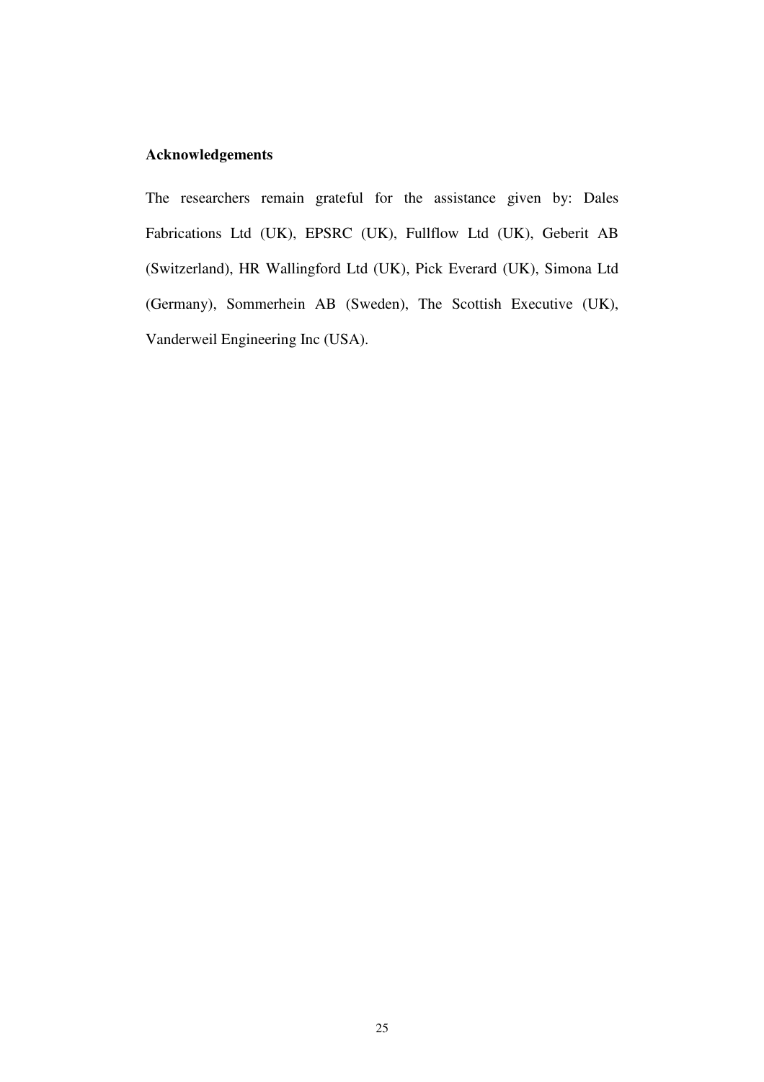## **Acknowledgements**

The researchers remain grateful for the assistance given by: Dales Fabrications Ltd (UK), EPSRC (UK), Fullflow Ltd (UK), Geberit AB (Switzerland), HR Wallingford Ltd (UK), Pick Everard (UK), Simona Ltd (Germany), Sommerhein AB (Sweden), The Scottish Executive (UK), Vanderweil Engineering Inc (USA).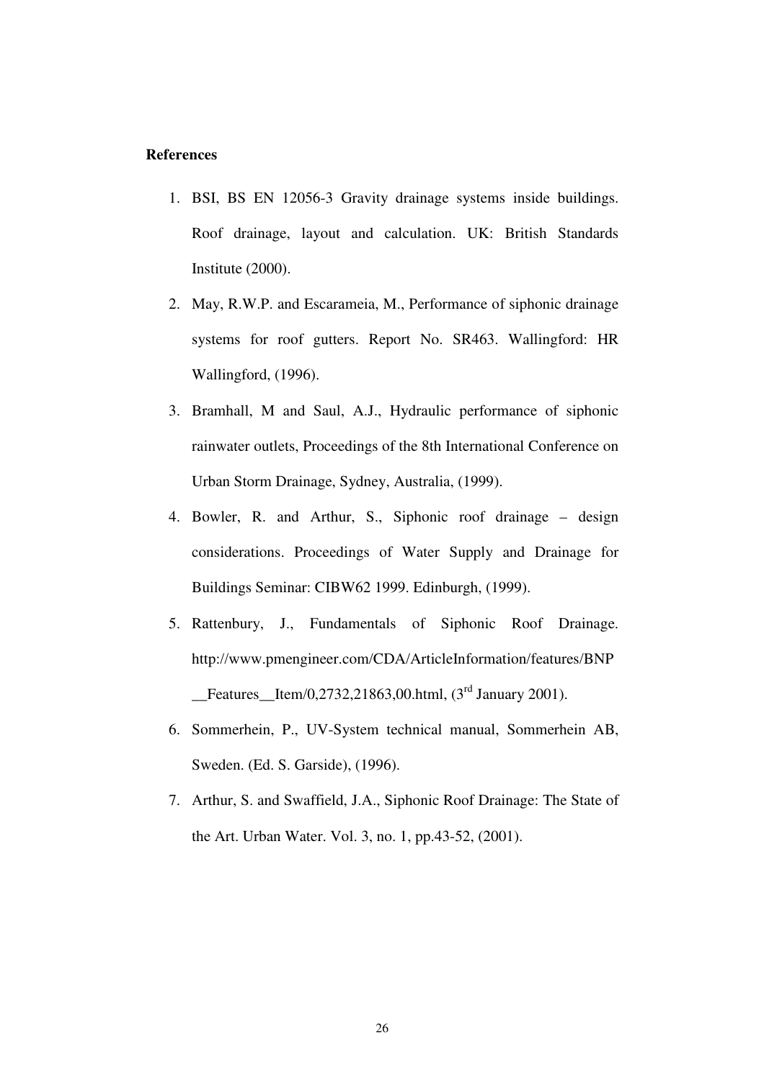#### **References**

- 1. BSI, BS EN 12056-3 Gravity drainage systems inside buildings. Roof drainage, layout and calculation. UK: British Standards Institute (2000).
- 2. May, R.W.P. and Escarameia, M., Performance of siphonic drainage systems for roof gutters. Report No. SR463. Wallingford: HR Wallingford, (1996).
- 3. Bramhall, M and Saul, A.J., Hydraulic performance of siphonic rainwater outlets, Proceedings of the 8th International Conference on Urban Storm Drainage, Sydney, Australia, (1999).
- 4. Bowler, R. and Arthur, S., Siphonic roof drainage design considerations. Proceedings of Water Supply and Drainage for Buildings Seminar: CIBW62 1999. Edinburgh, (1999).
- 5. Rattenbury, J., Fundamentals of Siphonic Roof Drainage. http://www.pmengineer.com/CDA/ArticleInformation/features/BNP **Example 15** Features Item/0,2732,21863,00.html,  $(3<sup>rd</sup> January 2001)$ .
- 6. Sommerhein, P., UV-System technical manual, Sommerhein AB, Sweden. (Ed. S. Garside), (1996).
- 7. Arthur, S. and Swaffield, J.A., Siphonic Roof Drainage: The State of the Art. Urban Water. Vol. 3, no. 1, pp.43-52, (2001).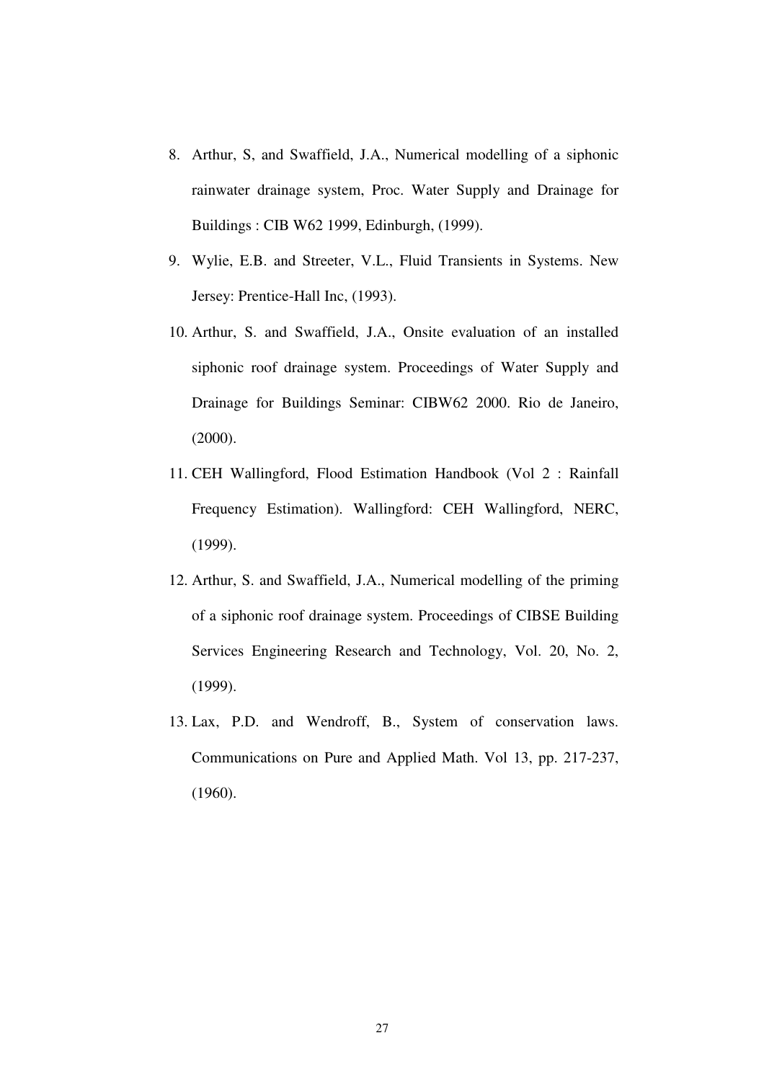- 8. Arthur, S, and Swaffield, J.A., Numerical modelling of a siphonic rainwater drainage system, Proc. Water Supply and Drainage for Buildings : CIB W62 1999, Edinburgh, (1999).
- 9. Wylie, E.B. and Streeter, V.L., Fluid Transients in Systems. New Jersey: Prentice-Hall Inc, (1993).
- 10. Arthur, S. and Swaffield, J.A., Onsite evaluation of an installed siphonic roof drainage system. Proceedings of Water Supply and Drainage for Buildings Seminar: CIBW62 2000. Rio de Janeiro, (2000).
- 11. CEH Wallingford, Flood Estimation Handbook (Vol 2 : Rainfall Frequency Estimation). Wallingford: CEH Wallingford, NERC, (1999).
- 12. Arthur, S. and Swaffield, J.A., Numerical modelling of the priming of a siphonic roof drainage system. Proceedings of CIBSE Building Services Engineering Research and Technology, Vol. 20, No. 2, (1999).
- 13. Lax, P.D. and Wendroff, B., System of conservation laws. Communications on Pure and Applied Math. Vol 13, pp. 217-237, (1960).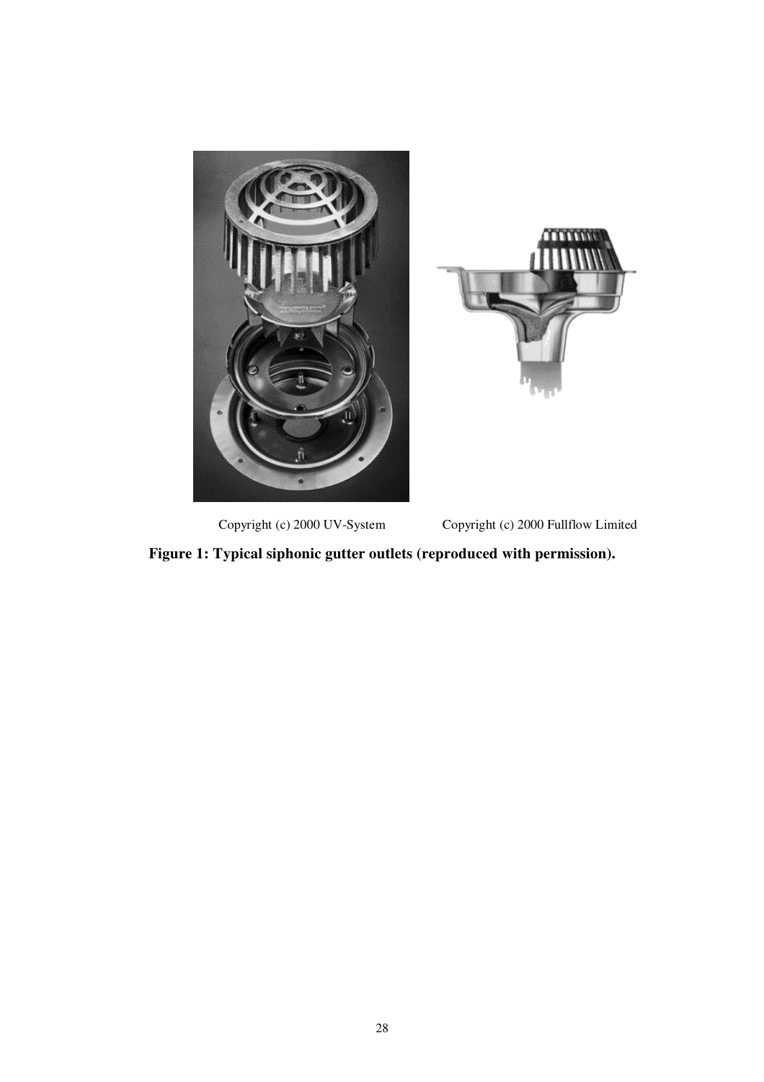



Copyright (c) 2000 UV-System Copyright (c) 2000 Fullflow Limited

**Figure 1: Typical siphonic gutter outlets (reproduced with permission).**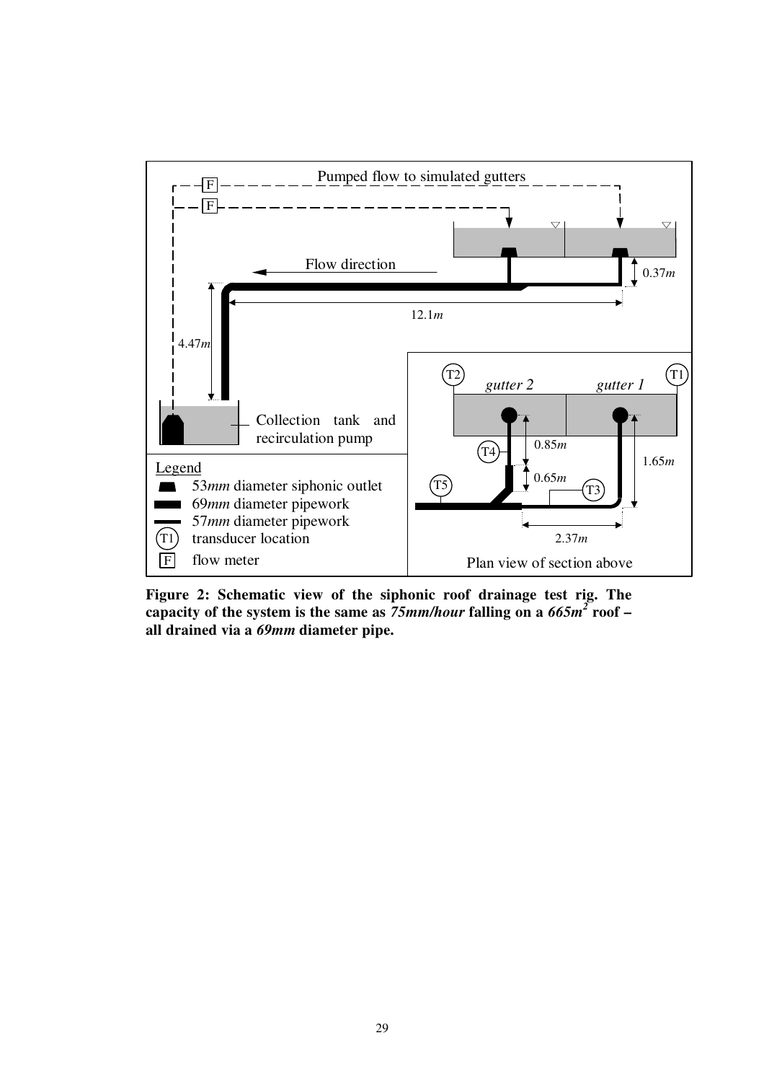

**Figure 2: Schematic view of the siphonic roof drainage test rig. The capacity of the system is the same as** *75mm/hour* **falling on a** *665m<sup>2</sup>*  **roof – all drained via a** *69mm* **diameter pipe.**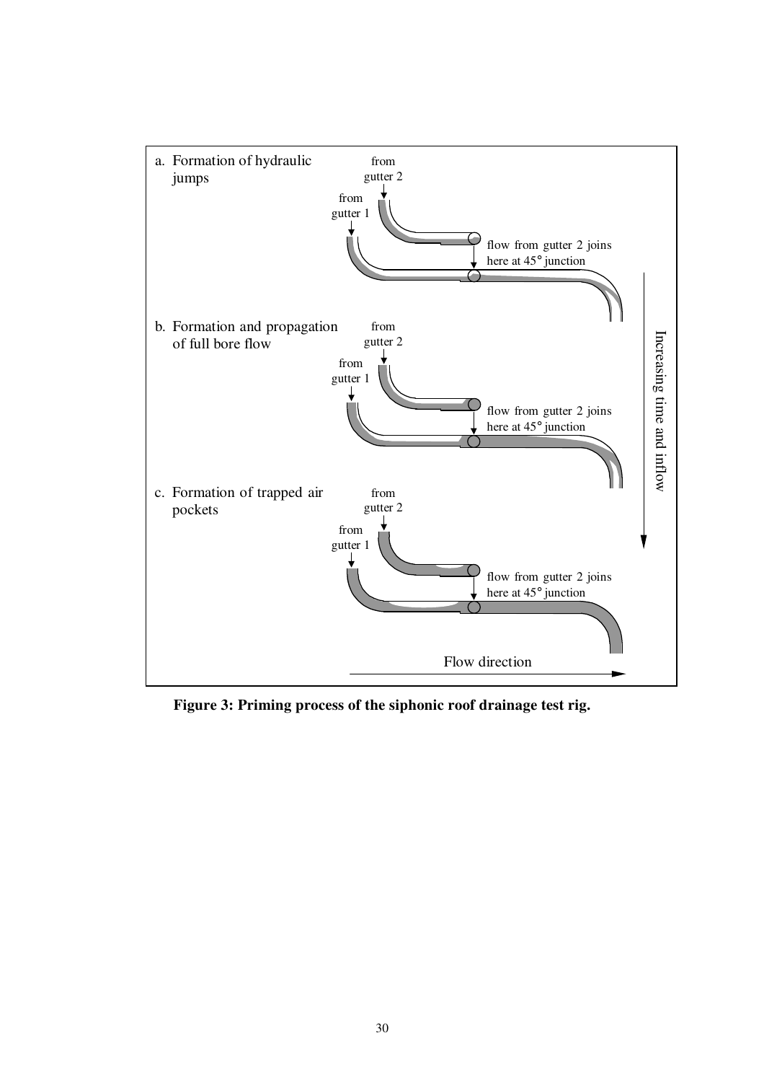

**Figure 3: Priming process of the siphonic roof drainage test rig.**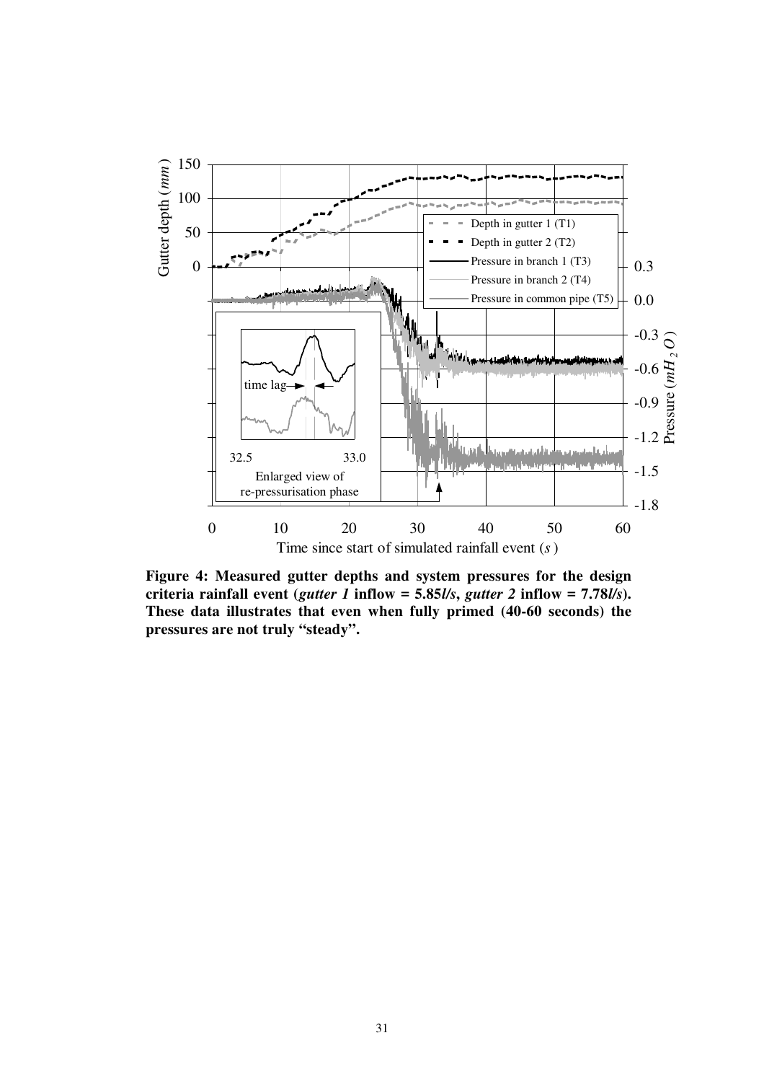

**Figure 4: Measured gutter depths and system pressures for the design**  criteria rainfall event (*gutter 1* inflow = 5.85*l/s*, *gutter 2* inflow = 7.78*l/s*). **These data illustrates that even when fully primed (40-60 seconds) the pressures are not truly "steady".**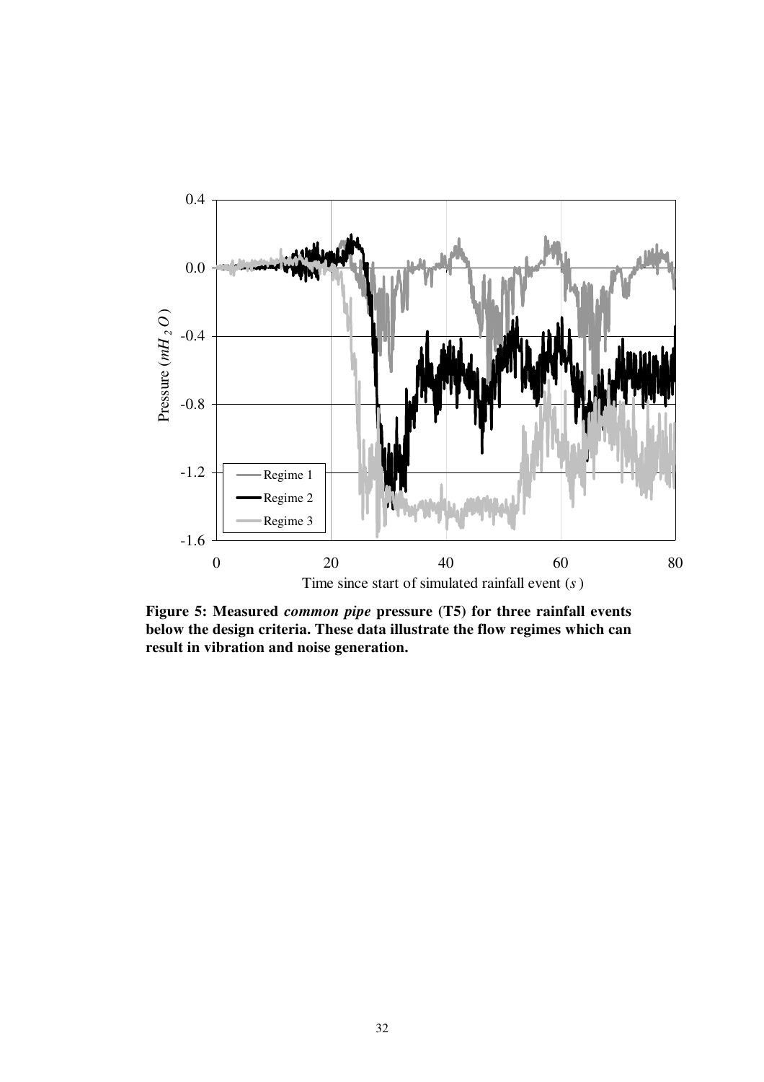

**Figure 5: Measured** *common pipe* **pressure (T5) for three rainfall events below the design criteria. These data illustrate the flow regimes which can result in vibration and noise generation.**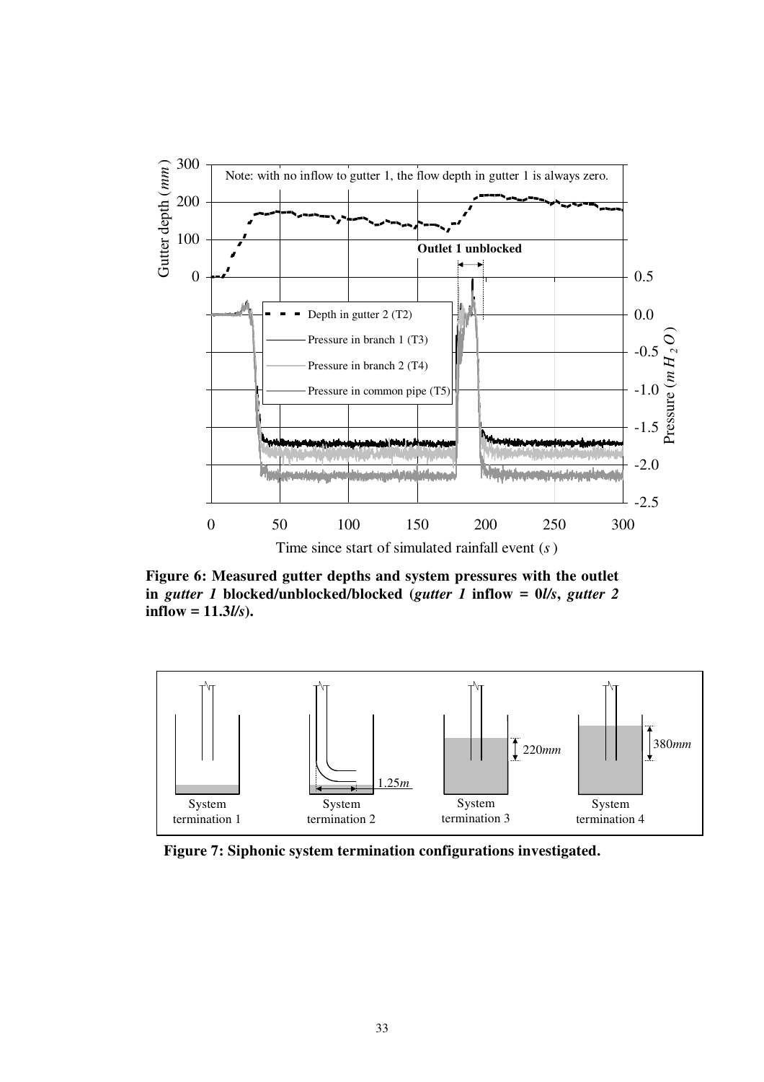

**Figure 6: Measured gutter depths and system pressures with the outlet in** *gutter 1* **blocked/unblocked/blocked (***gutter 1* **inflow = 0***l/s***,** *gutter 2* **inflow = 11.3***l/s***).** 



**Figure 7: Siphonic system termination configurations investigated.**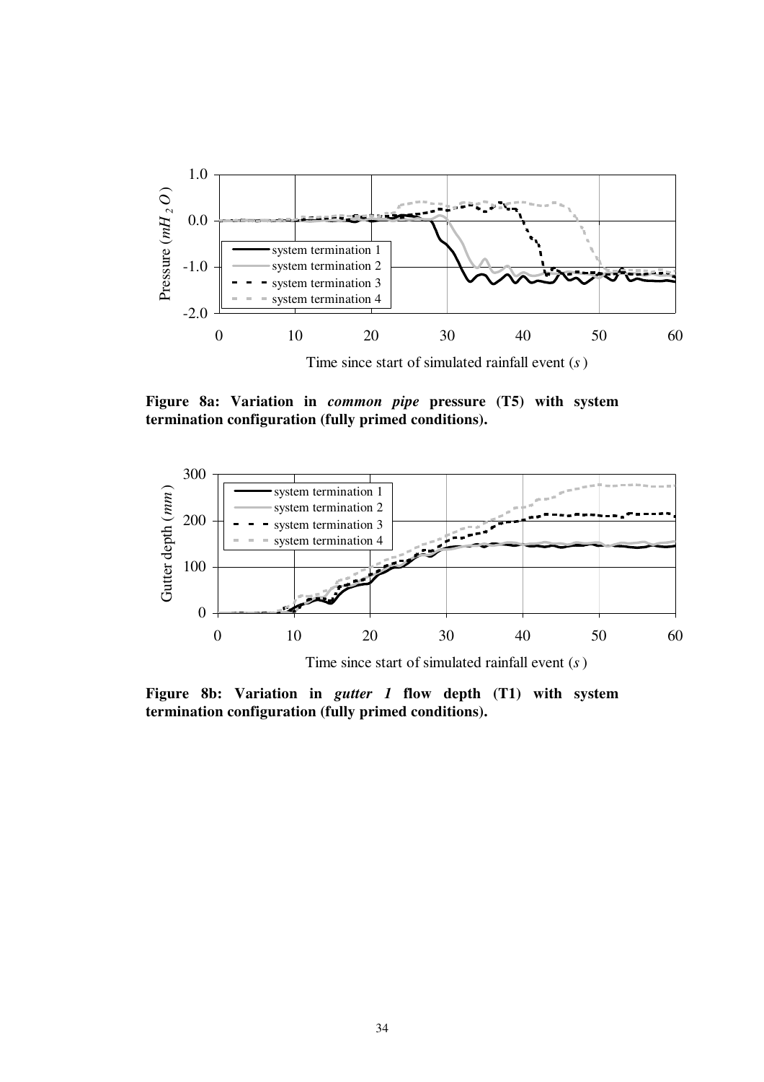

**Figure 8a: Variation in** *common pipe* **pressure (T5) with system termination configuration (fully primed conditions).** 



**Figure 8b: Variation in** *gutter 1* **flow depth (T1) with system termination configuration (fully primed conditions).**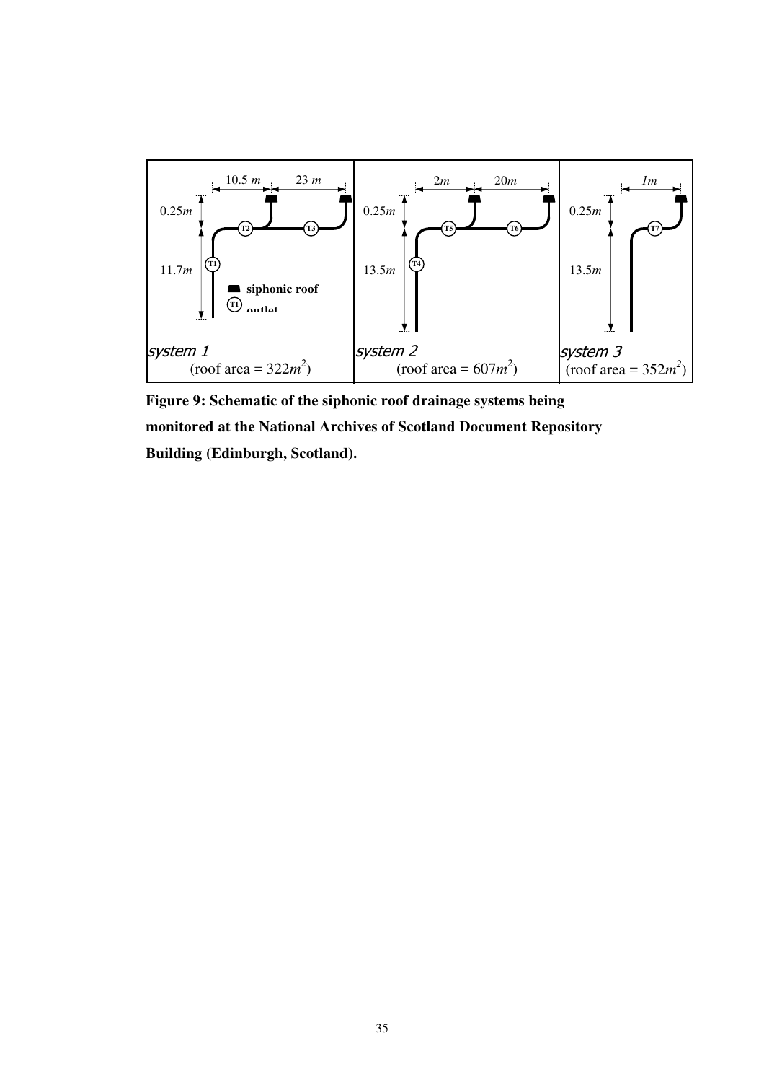

**Figure 9: Schematic of the siphonic roof drainage systems being monitored at the National Archives of Scotland Document Repository Building (Edinburgh, Scotland).**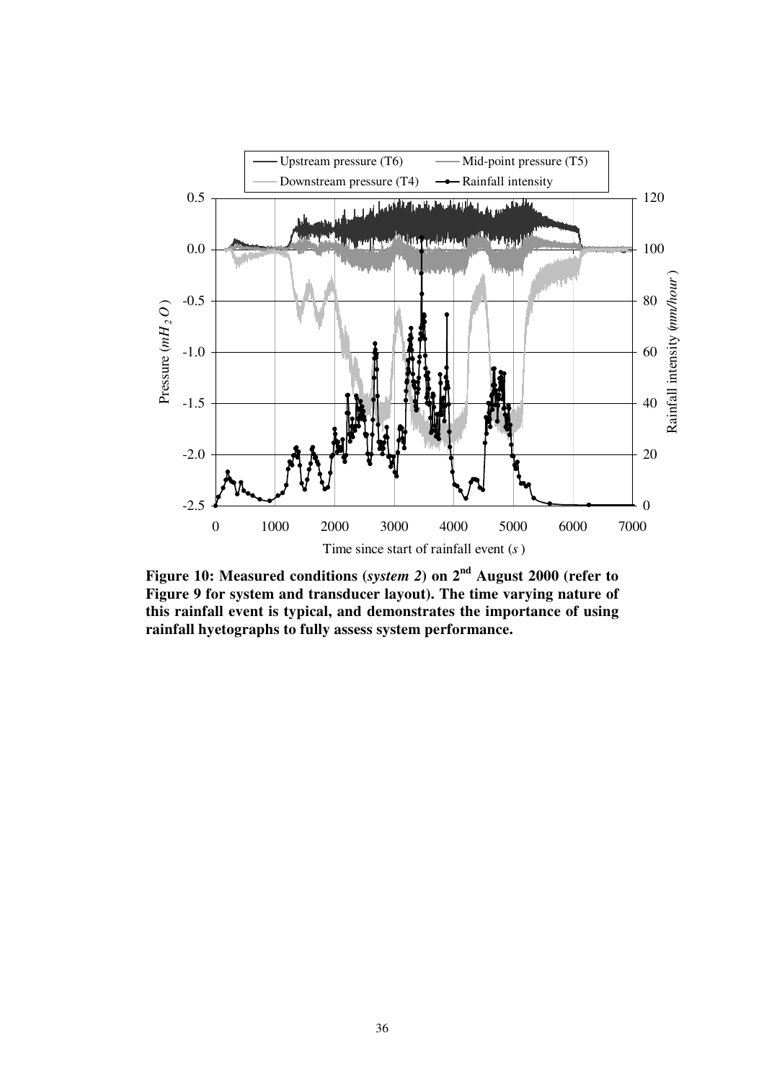

**Figure 10: Measured conditions (***system 2***) on 2nd August 2000 (refer to Figure 9 for system and transducer layout). The time varying nature of this rainfall event is typical, and demonstrates the importance of using rainfall hyetographs to fully assess system performance.**